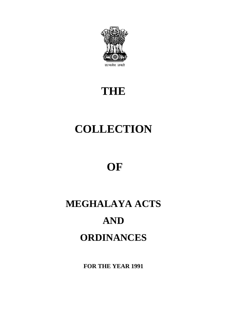

# **THE**

# **COLLECTION**

# **OF**

# **MEGHALAYA ACTS AND ORDINANCES**

**FOR THE YEAR 1991**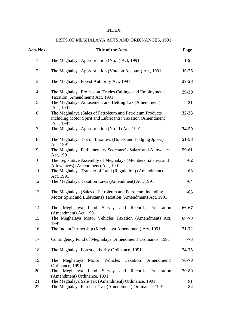### INDEX

### LISTS OF MEGHALAYA ACTS AND ORDINANCES, 1991

| Acts Nos.      | <b>Title of the Acts</b>                                                                                                             | Page         |
|----------------|--------------------------------------------------------------------------------------------------------------------------------------|--------------|
| $\mathbf{1}$   | The Meghalaya Appropriation (No. I) Act, 1991                                                                                        | $1-9$        |
| $\overline{2}$ | The Meghalaya Appropriation (Vote on Account) Act, 1991                                                                              | $10-26$      |
| 3              | The Meghalaya Forest Authority Act, 1991                                                                                             | $27 - 28$    |
| $\overline{4}$ | The Meghalaya Profession, Trades Callings and Employments<br>Taxation (Amendment) Act, 1991                                          | $29 - 30$    |
| 5              | The Meghalaya Amusement and Betting Tax (Amendment)<br>Act, 1991                                                                     | $-31$        |
| 6              | The Meghalaya (Sales of Petroleum and Petroleum Products<br>including Motor Spirit and Lubricants) Taxation (Amendment)<br>Act, 1991 | $32 - 33$    |
| 7              | The Meghalaya Appropriation (No. II) Act, 1991                                                                                       | $34 - 50$    |
| 8              | The Meghalaya Tax on Luxuries (Hotels and Lodging Jpises)<br>Act, 1991                                                               | 51-58        |
| 9              | The Meghalaya Parliamentary Secretary's Salary and Allowance<br>Act, 1991                                                            | 59-61        |
| 10             | The Legislative Assembly of Meghalaya (Members Salaries and<br>Allowances) (Amendment) Act, 1991                                     | $-62$        |
| 11             | The Meghalaya Transfer of Land (Regulation) (Amendment)<br>Act, 1991                                                                 | $-63$        |
| 12             | The Meghalaya Taxation Laws (Amendment) Act, 1991                                                                                    | $-64$        |
| 13             | The Meghalaya (Sales of Petroleum and Petroleum including<br>Motor Spirit and Lubricants) Taxation (Amendment) Act, 1991             | $-65$        |
| 14             | Survey<br>and Records<br>The<br>Meghalaya<br>Land<br>Preparation<br>(Amendment) Act, 1991                                            | 66-67        |
| 15             | The Meghalaya Motor Vehicles Taxation (Amendment) Act,<br>1991                                                                       | 68-70        |
| 16             | The Indian Partnership (Meghalaya Amendment) Act, 1991                                                                               | 71-72        |
| 17             | Contingency Fund of Meghalaya (Amendment) Ordinance, 1991                                                                            | $-73$        |
| 18             | The Meghalaya Forest authority Ordinance, 1991                                                                                       | 74-75        |
| 19             | Motor<br>Vehicles<br>Taxation<br>(Amendment)<br>Meghalaya<br>The<br>Ordinance, 1991                                                  | 76-78        |
| 20             | Meghalaya<br>Land Survey and Records Preparation<br>The<br>(Amendment) Ordinance, 1991                                               | 79-80        |
| 21<br>22       | The Meghalaya Sale Tax (Amendment) Ordinance, 1991<br>The Meghalaya Purchase Tax (Amendment) Ordinance, 1991                         | -81<br>$-82$ |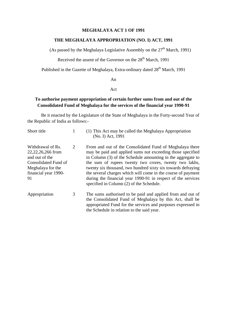### **MEGHALAYA ACT 1 OF 1991**

### **THE MEGHALAYA APPROPRIATION (NO. I) ACT, 1991**

(As passed by the Meghalaya Legislative Assembly on the  $27<sup>th</sup>$  March, 1991)

Received the assent of the Governor on the 28<sup>th</sup> March, 1991

Published in the Gazette of Meghalaya, Extra-ordinary dated 28<sup>th</sup> March, 1991

An

#### Act

### **To authorise payment appropriation of certain further sums from and out of the Consolidated Fund of Meghalaya for the services of the financial year 1990-91**

Be it enacted by the Legislature of the State of Meghalaya in the Forty-second Year of the Republic of India as follows:-

| Short title                                                                                                                            |   | (1) This Act may be called the Meghalaya Appropriation<br>(No. I) Act, 1991                                                                                                                                                                                                                                                                                                                                                                                                                 |
|----------------------------------------------------------------------------------------------------------------------------------------|---|---------------------------------------------------------------------------------------------------------------------------------------------------------------------------------------------------------------------------------------------------------------------------------------------------------------------------------------------------------------------------------------------------------------------------------------------------------------------------------------------|
| Withdrawal of Rs.<br>22, 22, 26, 266 from<br>and out of the<br>Consolidated Fund of<br>Meghalaya for the<br>financial year 1990-<br>91 | 2 | From and out of the Consolidated Fund of Meghalaya there<br>may be paid and applied sums not exceeding those specified<br>in Column (3) of the Schedule amounting in the aggregate to<br>the sum of rupees twenty two crores, twenty two lakhs,<br>twenty six thousand, two hundred sixty six towards defraying<br>the several charges which will come in the course of payment<br>during the financial year 1990-91 in respect of the services<br>specified in Column (2) of the Schedule. |
| Appropriation                                                                                                                          | 3 | The sums authorised to be paid and applied from and out of                                                                                                                                                                                                                                                                                                                                                                                                                                  |

the Consolidated Fund of Meghalaya by this Act, shall be appropriated Fund for the services and purposes expressed in the Schedule in relation to the said year.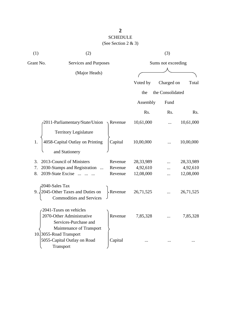| (1)       | (2)                                                               |                   |           | (3)                |           |
|-----------|-------------------------------------------------------------------|-------------------|-----------|--------------------|-----------|
| Grant No. | Services and Purposes                                             |                   |           | Sums not exceeding |           |
|           | (Major Heads)                                                     |                   |           |                    |           |
|           |                                                                   |                   | Voted by  | Charged on         | Total     |
|           |                                                                   |                   | the       | the Consolidated   |           |
|           |                                                                   |                   | Assembly  | Fund               |           |
|           |                                                                   |                   | Rs.       | Rs.                | Rs.       |
|           | -2011-Parliamentary/State/Union                                   | $\lambda$ Revenue | 10,61,000 |                    | 10,61,000 |
|           | <b>Territory Legislature</b>                                      |                   |           |                    |           |
| 1.        | 4058-Capital Outlay on Printing                                   | Capital           | 10,00,000 |                    | 10,00,000 |
|           | and Stationery                                                    |                   |           |                    |           |
| 3.        | 2013-Council of Ministers                                         | Revenue           | 28,33,989 |                    | 28,33,989 |
| 7.        | 2030-Stamps and Registration                                      | Revenue           | 4,92,610  | .                  | 4,92,610  |
| 8.        | 2039-State Excise                                                 | Revenue           | 12,08,000 |                    | 12,08,000 |
|           | 2040-Sales Tax                                                    |                   |           |                    |           |
| 9.        | 2045-Other Taxes and Duties on<br><b>Commodities and Services</b> | -Revenue          | 26,71,525 |                    | 26,71,525 |
|           | 2041-Taxes on vehicles                                            |                   |           |                    |           |
|           | 2070-Other Administrative                                         | Revenue           | 7,85,328  |                    | 7,85,328  |
|           | Services-Purchase and                                             |                   |           |                    |           |
|           | Maintenance of Transport                                          |                   |           |                    |           |
|           | 10.3055-Road Transport                                            |                   |           |                    |           |
|           | 5055-Capital Outlay on Road                                       | Capital           |           |                    |           |
|           | Transport                                                         |                   |           |                    |           |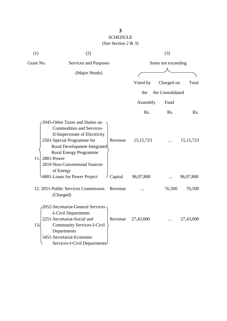| (1)              | (2)<br>(3)                                                                                                                                                                                                                                                      |         |                    |                  |             |
|------------------|-----------------------------------------------------------------------------------------------------------------------------------------------------------------------------------------------------------------------------------------------------------------|---------|--------------------|------------------|-------------|
| Grant No.        | Services and Purposes                                                                                                                                                                                                                                           |         | Sums not exceeding |                  |             |
|                  | (Major Heads)                                                                                                                                                                                                                                                   |         |                    |                  |             |
|                  |                                                                                                                                                                                                                                                                 |         | Voted by           | Charged on       | Total       |
|                  |                                                                                                                                                                                                                                                                 |         | the                | the Consolidated |             |
|                  |                                                                                                                                                                                                                                                                 |         | Assembly           | Fund             |             |
|                  |                                                                                                                                                                                                                                                                 |         | Rs.                | Rs.              | Rs.         |
| 11.              | 2045-Other Taxes and Duties on<br><b>Commodities and Services-</b><br>II-Inspectorate of Electricity<br>2501-Special Programme for<br>Rural Development Integrated<br><b>Rural Energy Programme</b><br>2801-Power<br>2810-Non-Conventional Sources<br>of Energy | Revenue | 15, 15, 723        |                  | 15, 15, 723 |
|                  | 6801-Loans for Power Project                                                                                                                                                                                                                                    | Capital | 96,07,800          |                  | 96,07,800   |
|                  | 12. 2051-Public Services Commission<br>(Charged)                                                                                                                                                                                                                | Revenue |                    | 76,500           | 76,500      |
| $13\overline{}}$ | 2052-Secretariat-General Services<br>-I-Civil Departments<br>2251-Secretariat-Social and<br><b>Community Services-I-Civil</b><br>Departments<br>3451-Secretariat-Economic<br>Services-I-Civil Departments-                                                      | Revenue | 27,43,000          |                  | 27,43,000   |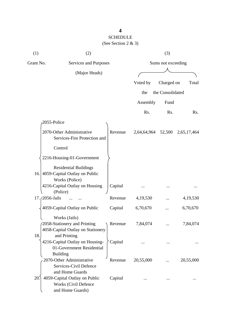| (1) | (2)                                                                                                |         | (3)                |                  |             |  |
|-----|----------------------------------------------------------------------------------------------------|---------|--------------------|------------------|-------------|--|
|     | Grant No.<br>Services and Purposes                                                                 |         | Sums not exceeding |                  |             |  |
|     | (Major Heads)                                                                                      |         |                    |                  |             |  |
|     |                                                                                                    |         | Voted by           | Charged on       | Total       |  |
|     |                                                                                                    |         | the                | the Consolidated |             |  |
|     |                                                                                                    |         |                    |                  |             |  |
|     |                                                                                                    |         | Assembly           | Fund             |             |  |
|     |                                                                                                    |         | Rs.                | Rs.              | Rs.         |  |
|     | 2055-Police                                                                                        |         |                    |                  |             |  |
|     | 2070-Other Administrative<br>Services-Fire Protection and                                          | Revenue | 2,64,64,964        | 52,500           | 2,65,17,464 |  |
|     | Control                                                                                            |         |                    |                  |             |  |
|     | 2216-Housing-01-Government                                                                         |         |                    |                  |             |  |
|     | <b>Residential Buildings</b><br>16. 4059-Capital Outlay on Public<br>Works (Police)                |         |                    |                  |             |  |
|     | 4216-Capital Outlay on Housing<br>(Police)                                                         | Capital |                    |                  |             |  |
|     | 17. (2056-Jails                                                                                    | Revenue | 4,19,530           |                  | 4,19,530    |  |
|     | 4059-Capital Outlay on Public                                                                      | Capital | 6,70,670           |                  | 6,70,670    |  |
| 18. | Works (Jails)<br>2058-Stationery and Printing<br>4058-Capital Outlay on Stationery<br>and Printing | Revenue | 7,84,074           |                  | 7,84,074    |  |
|     | 4216-Capital Outlay on Housing-<br>01-Government Residential<br><b>Building</b>                    | Capital |                    |                  |             |  |
|     | 2070-Other Administrative<br>Services-Civil Defence<br>and Home Guards                             | Revenue | 20,55,000          |                  | 20,55,000   |  |
| 20. | 4059-Capital Outlay on Public<br><b>Works (Civil Defence</b><br>and Home Guards)                   | Capital |                    |                  |             |  |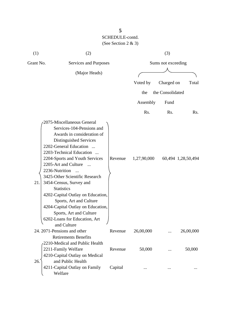| (1)       | (2)                                                                                                                                                                                                                                                                                                                                                                                                                                                                                                            |         |                  | (3)                |                    |
|-----------|----------------------------------------------------------------------------------------------------------------------------------------------------------------------------------------------------------------------------------------------------------------------------------------------------------------------------------------------------------------------------------------------------------------------------------------------------------------------------------------------------------------|---------|------------------|--------------------|--------------------|
| Grant No. | Services and Purposes                                                                                                                                                                                                                                                                                                                                                                                                                                                                                          |         |                  | Sums not exceeding |                    |
|           | (Major Heads)                                                                                                                                                                                                                                                                                                                                                                                                                                                                                                  |         |                  |                    |                    |
|           |                                                                                                                                                                                                                                                                                                                                                                                                                                                                                                                |         | Voted by         | Charged on         | Total              |
|           |                                                                                                                                                                                                                                                                                                                                                                                                                                                                                                                |         | the              | the Consolidated   |                    |
|           |                                                                                                                                                                                                                                                                                                                                                                                                                                                                                                                |         | Assembly         | Fund               |                    |
|           |                                                                                                                                                                                                                                                                                                                                                                                                                                                                                                                |         | R <sub>s</sub> . | Rs.                | Rs.                |
| 21.       | 2075-Miscellaneous General<br>Services-104-Pensions and<br>Awards in consideration of<br>Distinguished Services<br>2202-General Education<br>2203-Technical Education<br>2204-Sports and Youth Services<br>2205-Art and Culture<br>2236-Nutrition<br>$\sim$<br>3425-Other Scientific Research<br>3454-Census, Survey and<br><b>Statistics</b><br>4202-Capital Outlay on Education,<br>Sports, Art and Culture<br>4204-Capital Outlay on Education,<br>Sports, Art and Culture<br>6202-Loans for Education, Art | Revenue | 1,27,90,000      |                    | 60,494 1,28,50,494 |
|           | and Culture<br>24. 2071-Pensions and other                                                                                                                                                                                                                                                                                                                                                                                                                                                                     | Revenue | 26,00,000        |                    | 26,00,000          |
| 26.       | <b>Retirements Benefits</b><br>2210-Medical and Public Health<br>2211-Family Welfare<br>4210-Capital Outlay on Medical<br>and Public Health                                                                                                                                                                                                                                                                                                                                                                    | Revenue | 50,000           |                    | 50,000             |
|           | 4211-Capital Outlay on Family<br>Welfare                                                                                                                                                                                                                                                                                                                                                                                                                                                                       | Capital |                  |                    |                    |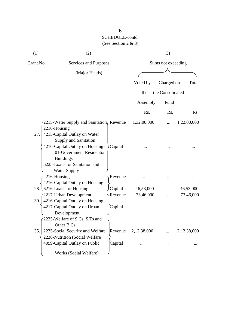| (1) | (2)                                                                                                                                                                          |                                   | (3)                |                        |  |  |
|-----|------------------------------------------------------------------------------------------------------------------------------------------------------------------------------|-----------------------------------|--------------------|------------------------|--|--|
|     | Grant No.<br>Services and Purposes                                                                                                                                           |                                   | Sums not exceeding |                        |  |  |
|     | (Major Heads)                                                                                                                                                                |                                   |                    |                        |  |  |
|     |                                                                                                                                                                              | Voted by                          | Charged on         | Total                  |  |  |
|     |                                                                                                                                                                              | the                               | the Consolidated   |                        |  |  |
|     |                                                                                                                                                                              | Assembly                          | Fund               |                        |  |  |
|     |                                                                                                                                                                              | Rs.                               | Rs.                | Rs.                    |  |  |
| 27. | 2215-Water Supply and Sanitation, Revenue<br>2216-Housing<br>4215-Capital Outlay on Water                                                                                    | 1,32,00,000                       |                    | 1,22,00,000            |  |  |
|     | Supply and Sanitation<br>4216-Capital Outlay on Housing-<br>Capital<br>01-Government Residential<br><b>Buildings</b><br>6225-Loans for Sanitation and<br><b>Water Supply</b> |                                   |                    |                        |  |  |
|     | 2216-Housing<br>4216-Capital Outlay on Housing                                                                                                                               | Revenue                           |                    |                        |  |  |
|     | 28. L6216-Loans for Housing<br>Capital<br>2217-Urban Development                                                                                                             | 46,53,000<br>73,46,000<br>Revenue |                    | 46,53,000<br>73,46,000 |  |  |
| 30. | 4216-Capital Outlay on Housing<br>4217-Capital Outlay on Urban<br>Capital<br>Development<br>2225-Welfare of S.Cs, S.Ts and                                                   |                                   |                    |                        |  |  |
| 35. | Other B.Cs<br>2235-Social Security and Welfare<br>2236-Nutrition (Social Welfare)<br>4059-Capital Outlay on Public<br>Capital                                                | 2,12,38,000<br>Revenue            |                    | 2,12,38,000            |  |  |
|     | Works (Social Welfare)                                                                                                                                                       |                                   |                    |                        |  |  |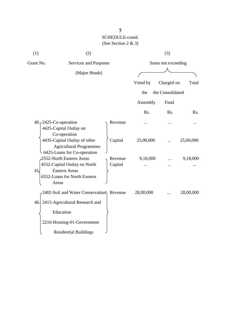| (1)       | (2)                                                                                           |         | (3)                |                  |           |
|-----------|-----------------------------------------------------------------------------------------------|---------|--------------------|------------------|-----------|
| Grant No. | Services and Purposes                                                                         |         | Sums not exceeding |                  |           |
|           | (Major Heads)                                                                                 |         |                    |                  |           |
|           |                                                                                               |         | Voted by           | Charged on       | Total     |
|           |                                                                                               |         | the                | the Consolidated |           |
|           |                                                                                               |         | Assembly           | Fund             |           |
|           |                                                                                               |         | Rs.                | Rs.              | Rs.       |
|           | $40.72425$ -Co-operation<br>4425-Capital Outlay on<br>Co-operation                            | Revenue |                    |                  |           |
|           | 4435-Capital Outlay of other<br><b>Agricultural Programmes</b><br>6425-Loans for Co-operation | Capital | 25,00,000          |                  | 25,00,000 |
|           | 2552-North Eastern Areas                                                                      | Revenue | 9,18,000           |                  | 9,18,000  |
| 41        | 4552-Capital Outlay on North<br><b>Eastern Areas</b><br>6552-Loans for North Eastern<br>Areas | Capital |                    |                  |           |
|           | 2402-Soil and Water Conservation) Revenue                                                     |         | 28,00,000          |                  | 28,00,000 |
| 46.       | 2415-Agricultural Research and                                                                |         |                    |                  |           |
|           | Education                                                                                     |         |                    |                  |           |
|           | 2216-Housing-01-Government                                                                    |         |                    |                  |           |
|           | <b>Residential Buildings</b>                                                                  |         |                    |                  |           |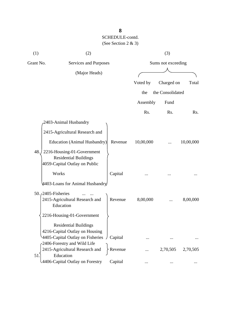| (1)                                | (2)                                                                                                |                    |           | (3)              |           |
|------------------------------------|----------------------------------------------------------------------------------------------------|--------------------|-----------|------------------|-----------|
| Grant No.<br>Services and Purposes |                                                                                                    | Sums not exceeding |           |                  |           |
|                                    | (Major Heads)                                                                                      |                    |           |                  |           |
|                                    |                                                                                                    |                    | Voted by  | Charged on       | Total     |
|                                    |                                                                                                    |                    | the       | the Consolidated |           |
|                                    |                                                                                                    |                    | Assembly  | Fund             |           |
|                                    |                                                                                                    |                    | Rs.       | Rs.              | Rs.       |
|                                    | 2403-Animal Husbandry                                                                              |                    |           |                  |           |
|                                    | 2415-Agricultural Research and                                                                     |                    |           |                  |           |
|                                    | Education (Animal Husbandry)                                                                       | Revenue            | 10,00,000 |                  | 10,00,000 |
| 48. /                              | 2216-Housing-01-Government<br><b>Residential Buildings</b><br>4059-Capital Outlay on Public        |                    |           |                  |           |
|                                    | Works                                                                                              | Capital            |           |                  |           |
|                                    | 4403-Loans for Animal Husbandry                                                                    |                    |           |                  |           |
|                                    | 50. $\sqrt{2405}$ -Fisheries<br>2415-Agricultural Research and<br>Education                        | Revenue            | 8,00,000  |                  | 8,00,000  |
|                                    | 2216-Housing-01-Government                                                                         |                    |           |                  |           |
|                                    | <b>Residential Buildings</b><br>4216-Capital Outlay on Housing<br>4405-Capital Outlay on Fisheries | / Capital          |           |                  |           |
| 51.                                | -2406-Forestry and Wild Life<br>2415-Agricultural Research and<br>Education                        | Revenue            |           | 2,70,505         | 2,70,505  |
|                                    | 4406-Capital Outlay on Forestry                                                                    | Capital            | $\ddotsc$ |                  |           |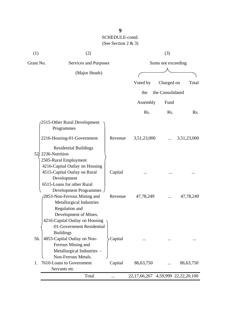| (1)       | (2)                                                                                                                                                        |          |                    | (3)              |                       |
|-----------|------------------------------------------------------------------------------------------------------------------------------------------------------------|----------|--------------------|------------------|-----------------------|
| Grant No. | Services and Purposes                                                                                                                                      |          | Sums not exceeding |                  |                       |
|           | (Major Heads)                                                                                                                                              |          |                    |                  |                       |
|           |                                                                                                                                                            |          | Voted by           | Charged on       | Total                 |
|           |                                                                                                                                                            |          | the                | the Consolidated |                       |
|           |                                                                                                                                                            |          |                    |                  |                       |
|           |                                                                                                                                                            |          | Assembly           | Fund             |                       |
|           |                                                                                                                                                            |          | Rs.                | Rs.              | Rs.                   |
|           | 2515-Other Rural Development<br>Programmes                                                                                                                 |          |                    |                  |                       |
|           | 2216-Housing-01-Government                                                                                                                                 | Revenue  | 3,51,23,000        |                  | 3,51,23,000           |
|           | <b>Residential Buildings</b><br>52 2236-Nutrition<br>2505-Rural Employment                                                                                 |          |                    |                  |                       |
|           | 4216-Capital Outlay on Housing<br>4515-Capital Outlay on Rural                                                                                             | Capital  |                    |                  |                       |
|           | Development                                                                                                                                                |          |                    |                  |                       |
|           | 6515-Loans for other Rural<br>Development Programmes<br>2853-Non-Ferrous Mining and<br>Metallurgical Industries<br>Regulation and<br>Development of Mines. | Revenue  | 47,78,249          |                  | 47,78,249             |
|           | 4216-Capital Outlay on Housing<br>-01-Government Residential<br><b>Buildings</b>                                                                           |          |                    |                  |                       |
| 56.       | 4853-Capital Outlay on Non-<br>Ferrous Mining and<br>Metallurgical Industries -<br>Non-Ferrous Metals.                                                     | Capital  |                    |                  |                       |
| 1.        | 7610-Loans to Government                                                                                                                                   | Capital  | 86,63,750          |                  | 86,63,750             |
|           | Servants etc                                                                                                                                               |          |                    |                  |                       |
|           | Total                                                                                                                                                      | $\cdots$ | 22, 17, 66, 267    |                  | 4,59,999 22,22,20,100 |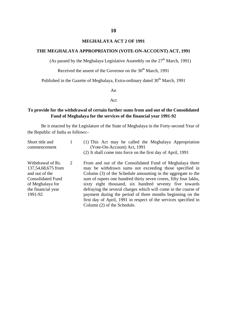### **MEGHALAYA ACT 2 OF 1991**

### **THE MEGHALAYA APPROPRIATION (VOTE-ON-ACCOUNT) ACT, 1991**

(As passed by the Meghalaya Legislative Assembly on the  $27<sup>th</sup>$  March, 1991)

Received the assent of the Governor on the  $30<sup>th</sup>$  March, 1991

Published in the Gazette of Meghalaya, Extra-ordinary dated 30<sup>th</sup> March, 1991

An

### Act

### **To provide for the withdrawal of certain further sums from and out of the Consolidated Fund of Meghalaya for the services of the financial year 1991-92**

| Short title and<br>commencement                                                                                                            |   | (1) This Act may be called the Meghalaya Appropriation<br>(Vote-On-Account) Act, 1991<br>(2) It shall come into force on the first day of April, 1991                                                                                                                                                                                                                                                                                                                                                                                               |
|--------------------------------------------------------------------------------------------------------------------------------------------|---|-----------------------------------------------------------------------------------------------------------------------------------------------------------------------------------------------------------------------------------------------------------------------------------------------------------------------------------------------------------------------------------------------------------------------------------------------------------------------------------------------------------------------------------------------------|
| Withdrawal of Rs.<br>137,54,68,675 from<br>and out of the<br><b>Consolidated Fund</b><br>of Meghalaya for<br>the financial year<br>1991-92 | 2 | From and out of the Consolidated Fund of Meghalaya there<br>may be withdrawn sums not exceeding those specified in<br>Column (3) of the Schedule amounting in the aggregate to the<br>sum of rupees one hundred thirty seven crores, fifty four lakhs,<br>sixty eight thousand, six hundred seventy five towards<br>defraying the several charges which will come in the course of<br>payment during the period of three months beginning on the<br>first day of April, 1991 in respect of the services specified in<br>Column (2) of the Schedule. |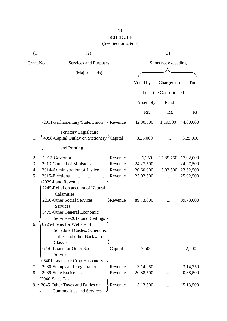# SCHEDULE

| (1)       | (2)                                                               |                  | (3)                |                  |           |  |
|-----------|-------------------------------------------------------------------|------------------|--------------------|------------------|-----------|--|
| Grant No. | Services and Purposes                                             |                  | Sums not exceeding |                  |           |  |
|           | (Major Heads)                                                     |                  |                    |                  |           |  |
|           |                                                                   |                  | Voted by           | Charged on       | Total     |  |
|           |                                                                   |                  | the                | the Consolidated |           |  |
|           |                                                                   |                  | Assembly           | Fund             |           |  |
|           |                                                                   |                  | Rs.                | Rs.              | Rs.       |  |
|           | 2011-Parliamentary/State/Union                                    | $\sqrt{$ Revenue | 42,80,500          | 1,19,500         | 44,00,000 |  |
|           | <b>Territory Legislature</b>                                      |                  |                    |                  |           |  |
| 1.        | 4058-Capital Outlay on Stationery (Capital                        |                  | 3,25,000           |                  | 3,25,000  |  |
|           | and Printing                                                      |                  |                    |                  |           |  |
| 2.        | 2012-Governor                                                     | Revenue          | 6,250              | 17,85,750        | 17,92,000 |  |
| 3.        | 2013-Council of Ministers                                         | Revenue          | 24,27,500          |                  | 24,27,500 |  |
| 4.        | 2014-Administration of Justice                                    | Revenue          | 20,60,000          | 3,02,500         | 23,62,500 |  |
| 5.        | 2015-Elections                                                    | Revenue          | 25,02,500          |                  | 25,02,500 |  |
|           | 2029-Land Revenue                                                 |                  |                    |                  |           |  |
|           | 2245-Relief on account of Natural                                 |                  |                    |                  |           |  |
|           | Calamities                                                        |                  |                    |                  |           |  |
|           | 2250-Other Social Services                                        | Revenue          | 89,73,000          |                  | 89,73,000 |  |
|           | <b>Services</b>                                                   |                  |                    |                  |           |  |
|           | 3475-Other General Economic                                       |                  |                    |                  |           |  |
|           | Services-201-Land Ceilings                                        |                  |                    |                  |           |  |
| 6.        | 6225-Loans for Welfare of                                         |                  |                    |                  |           |  |
|           | <b>Scheduled Castes, Scheduled</b>                                |                  |                    |                  |           |  |
|           | Tribes and other Backward                                         |                  |                    |                  |           |  |
|           | Classes                                                           |                  |                    |                  |           |  |
|           | 6250-Loans for Other Social                                       | Capital          | 2,500              |                  | 2,500     |  |
|           | Services                                                          |                  |                    |                  |           |  |
|           | 6401-Loans for Crop Husbandry                                     |                  |                    |                  |           |  |
| 7.        | 2030-Stamps and Registration                                      | Revenue          | 3,14,250           |                  | 3,14,250  |  |
| 8.        | 2039-State Excise                                                 | Revenue          | 20,88,500          |                  | 20,88,500 |  |
|           | 2040-Sales Tax                                                    |                  |                    |                  |           |  |
| 9.        | 2045-Other Taxes and Duties on<br><b>Commodities and Services</b> | Revenue          | 15,13,500          |                  | 15,13,500 |  |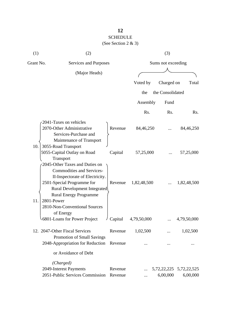#### SCHEDULE  $(S_{00}$  Section  $2 \& 3)$

|  | (See Section 2 $\&$ 3) |  |  |  |  |
|--|------------------------|--|--|--|--|
|--|------------------------|--|--|--|--|

| (1)       | (2)                                                                                                                                        |                              |             | (3)                |                                     |  |  |
|-----------|--------------------------------------------------------------------------------------------------------------------------------------------|------------------------------|-------------|--------------------|-------------------------------------|--|--|
| Grant No. |                                                                                                                                            | <b>Services and Purposes</b> |             | Sums not exceeding |                                     |  |  |
|           | (Major Heads)                                                                                                                              |                              |             |                    |                                     |  |  |
|           |                                                                                                                                            |                              | Voted by    | Charged on         | Total                               |  |  |
|           |                                                                                                                                            |                              | the         | the Consolidated   |                                     |  |  |
|           |                                                                                                                                            |                              | Assembly    | Fund               |                                     |  |  |
|           |                                                                                                                                            |                              | Rs.         | Rs.                | Rs.                                 |  |  |
|           | 2041-Taxes on vehicles                                                                                                                     |                              |             |                    |                                     |  |  |
|           | 2070-Other Administrative<br>Services-Purchase and                                                                                         | Revenue                      | 84,46,250   |                    | 84,46,250                           |  |  |
| 10.       | Maintenance of Transport<br>3055-Road Transport<br>5055-Capital Outlay on Road                                                             | Capital                      | 57,25,000   |                    | 57,25,000                           |  |  |
|           | Transport<br>2045-Other Taxes and Duties on<br><b>Commodities and Services-</b><br>II-Inspectorate of Electricity.                         |                              |             |                    |                                     |  |  |
| 11.       | 2501-Special Programme for<br>Rural Development Integrated<br><b>Rural Energy Programme</b><br>2801-Power<br>2810-Non-Conventional Sources | Revenue                      | 1,82,48,500 |                    | 1,82,48,500                         |  |  |
|           | of Energy<br>6801-Loans for Power Project                                                                                                  | Capital                      | 4,79,50,000 |                    | 4,79,50,000                         |  |  |
|           | 12. 2047-Other Fiscal Services<br>Promotion of Small Savings                                                                               | Revenue                      | 1,02,500    |                    | 1,02,500                            |  |  |
|           | 2048-Appropriation for Reduction                                                                                                           | Revenue                      |             |                    |                                     |  |  |
|           | or Avoidance of Debt                                                                                                                       |                              |             |                    |                                     |  |  |
|           | (Charged)                                                                                                                                  |                              |             |                    |                                     |  |  |
|           | 2049-Interest Payments<br>2051-Public Services Commission                                                                                  | Revenue<br>Revenue           |             | 6,00,000           | 5,72,22,225 5,72,22,525<br>6,00,000 |  |  |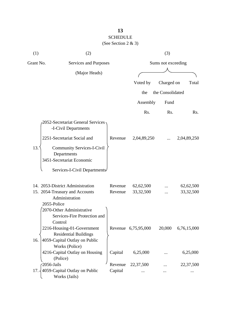| (1)       | (2)                                                                                                   |         |                     | (3)              |                  |  |
|-----------|-------------------------------------------------------------------------------------------------------|---------|---------------------|------------------|------------------|--|
| Grant No. | Services and Purposes                                                                                 |         | Sums not exceeding  |                  |                  |  |
|           | (Major Heads)                                                                                         |         |                     |                  |                  |  |
|           |                                                                                                       |         | Voted by            | Charged on       | Total            |  |
|           |                                                                                                       |         | the                 | the Consolidated |                  |  |
|           |                                                                                                       |         | Assembly            | Fund             |                  |  |
|           |                                                                                                       |         | Rs.                 | Rs.              | R <sub>s</sub> . |  |
|           | 2052-Secretariat General Services<br>-I-Civil Departments                                             |         |                     |                  |                  |  |
|           | 2251-Secretariat Social and                                                                           | Revenue | 2,04,89,250         |                  | 2,04,89,250      |  |
| 13.       | <b>Community Services-I-Civil</b><br>Departments<br>3451-Secretariat Economic                         |         |                     |                  |                  |  |
|           | Services-I-Civil Departments                                                                          |         |                     |                  |                  |  |
|           | 14. 2053-District Administration                                                                      | Revenue | 62,62,500           |                  | 62,62,500        |  |
|           | 15. 2054-Treasury and Accounts                                                                        | Revenue | 33, 32, 500         |                  | 33, 32, 500      |  |
|           | Administration<br>2055-Police<br>2070-Other Administrative<br>Services-Fire Protection and<br>Control |         |                     |                  |                  |  |
|           | 2216-Housing-01-Government<br><b>Residential Buildings</b>                                            |         | Revenue 6,75,95,000 | 20,000           | 6,76,15,000      |  |
| 16.       | 4059-Capital Outlay on Public<br>Works (Police)                                                       |         |                     |                  |                  |  |
|           | 4216-Capital Outlay on Housing<br>(Police)                                                            | Capital | 6,25,000            |                  | 6,25,000         |  |
|           | 2056-Jails                                                                                            | Revenue | 22,37,500           |                  | 22,37,500        |  |
| 17.       | 4059-Capital Outlay on Public<br>Works (Jails)                                                        | Capital |                     |                  |                  |  |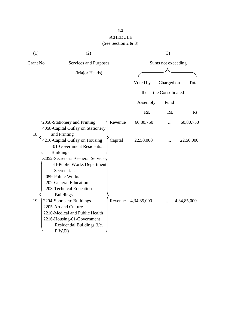# SCHEDULE

| (1) | (2)                                                                                                                                                                                                                                                                                                                                           |         |                | (3)                |             |
|-----|-----------------------------------------------------------------------------------------------------------------------------------------------------------------------------------------------------------------------------------------------------------------------------------------------------------------------------------------------|---------|----------------|--------------------|-------------|
|     | Grant No.<br>Services and Purposes                                                                                                                                                                                                                                                                                                            |         |                | Sums not exceeding |             |
|     | (Major Heads)                                                                                                                                                                                                                                                                                                                                 |         |                |                    |             |
|     |                                                                                                                                                                                                                                                                                                                                               |         | Voted by       | Charged on         | Total       |
|     |                                                                                                                                                                                                                                                                                                                                               |         | the            | the Consolidated   |             |
|     |                                                                                                                                                                                                                                                                                                                                               |         | Assembly       | Fund               |             |
|     |                                                                                                                                                                                                                                                                                                                                               |         | Rs.            | Rs.                | Rs.         |
| 18. | 2058-Stationery and Printing<br>4058-Capital Outlay on Stationery<br>and Printing                                                                                                                                                                                                                                                             | Revenue | 60,80,750      |                    | 60,80,750   |
|     | 4216-Capital Outlay on Housing<br>-01-Government Residential<br><b>Buildings</b>                                                                                                                                                                                                                                                              | Capital | 22,50,000      |                    | 22,50,000   |
| 19. | 2052-Secretariat-General Services<br>-II-Public Works Department<br>-Secretariat.<br>2059-Public Works<br>2202-General Education<br>2203-Technical Education<br><b>Buildings</b><br>2204-Sports etc Buildings<br>2205-Art and Culture<br>2210-Medical and Public Health<br>2216-Housing-01-Government<br>Residential Buildings (i/c.<br>P.W.D | Revenue | 4, 34, 85, 000 |                    | 4,34,85,000 |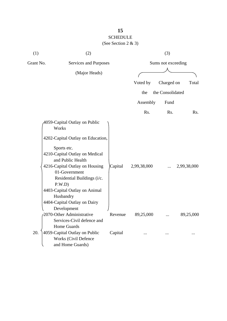# **15** SCHEDULE

| (1)       | (2)                                                                                                                                                                                                                                                                                        |         |             | (3)                |             |
|-----------|--------------------------------------------------------------------------------------------------------------------------------------------------------------------------------------------------------------------------------------------------------------------------------------------|---------|-------------|--------------------|-------------|
| Grant No. | Services and Purposes                                                                                                                                                                                                                                                                      |         |             | Sums not exceeding |             |
|           | (Major Heads)                                                                                                                                                                                                                                                                              |         |             |                    |             |
|           |                                                                                                                                                                                                                                                                                            |         | Voted by    | Charged on         | Total       |
|           |                                                                                                                                                                                                                                                                                            |         | the         | the Consolidated   |             |
|           |                                                                                                                                                                                                                                                                                            |         | Assembly    | Fund               |             |
|           |                                                                                                                                                                                                                                                                                            |         | Rs.         | Rs.                | Rs.         |
|           | 4059-Capital Outlay on Public<br>Works<br>4202-Capital Outlay on Education,<br>Sports etc.<br>4210-Capital Outlay on Medical<br>and Public Health<br>4216-Capital Outlay on Housing<br>01-Government<br>Residential Buildings (i/c.<br>P.W.D<br>4403-Capital Outlay on Animal<br>Husbandry | Capital | 2,99,38,000 |                    | 2,99,38,000 |
|           | 4404-Capital Outlay on Dairy<br>Development<br>2070-Other Administrative<br>Services-Civil defence and<br>Home Guards                                                                                                                                                                      | Revenue | 89,25,000   |                    | 89,25,000   |
| 20.       | 4059-Capital Outlay on Public<br><b>Works (Civil Defence</b><br>and Home Guards)                                                                                                                                                                                                           | Capital |             |                    |             |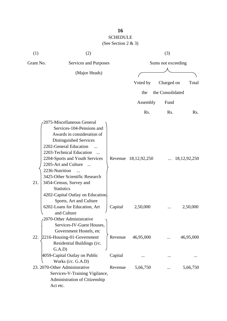# **16** SCHEDULE

| (1)       | (2)                                                                                                                                                                                                                                                                                                                                                                                                 |         |                      | (3)              |                       |
|-----------|-----------------------------------------------------------------------------------------------------------------------------------------------------------------------------------------------------------------------------------------------------------------------------------------------------------------------------------------------------------------------------------------------------|---------|----------------------|------------------|-----------------------|
| Grant No. | Services and Purposes                                                                                                                                                                                                                                                                                                                                                                               |         | Sums not exceeding   |                  |                       |
|           | (Major Heads)                                                                                                                                                                                                                                                                                                                                                                                       |         |                      |                  |                       |
|           |                                                                                                                                                                                                                                                                                                                                                                                                     |         | Voted by             | Charged on       | Total                 |
|           |                                                                                                                                                                                                                                                                                                                                                                                                     |         | the                  | the Consolidated |                       |
|           |                                                                                                                                                                                                                                                                                                                                                                                                     |         | Assembly             | Fund             |                       |
|           |                                                                                                                                                                                                                                                                                                                                                                                                     |         | Rs.                  | Rs.              | Rs.                   |
| 21.       | 2075-Miscellaneous General<br>Services-104-Pensions and<br>Awards in consideration of<br>Distinguished Services<br>2202-General Education<br>2203-Technical Education<br>2204-Sports and Youth Services<br>2205-Art and Culture<br>$\overline{\phantom{a}}$<br>2236-Nutrition<br>3425-Other Scientific Research<br>3454-Census, Survey and<br><b>Statistics</b><br>4202-Capital Outlay on Education |         | Revenue 18,12,92,250 |                  | $\ldots$ 18,12,92,250 |
|           | Sports, Art and Culture<br>6202-Loans for Education, Art<br>and Culture<br>2070-Other Administrative<br>Services-IV-Guest Houses,                                                                                                                                                                                                                                                                   | Capital | 2,50,000             |                  | 2,50,000              |
| 22.       | Government Hostels, etc<br>2216-Housing-01-Government<br>Residential Buildings (i/c.<br>(A.D)                                                                                                                                                                                                                                                                                                       | Revenue | 46,95,000            |                  | 46,95,000             |
|           | 4059-Capital Outlay on Public                                                                                                                                                                                                                                                                                                                                                                       | Capital |                      |                  |                       |
|           | Works (i/c. G.A.D)<br>23. 2070-Other Administrative<br>Services-V-Training Vigilance,<br>Administration of Citizenship<br>Act etc.                                                                                                                                                                                                                                                                  | Revenue | 5,66,750             |                  | 5,66,750              |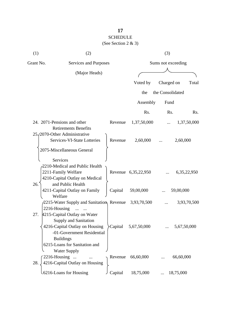| (1) | (2)                                                                                                                                                                               |         |                     | (3)                |                  |  |  |
|-----|-----------------------------------------------------------------------------------------------------------------------------------------------------------------------------------|---------|---------------------|--------------------|------------------|--|--|
|     | Grant No.<br>Services and Purposes                                                                                                                                                |         |                     | Sums not exceeding |                  |  |  |
|     | (Major Heads)                                                                                                                                                                     |         |                     |                    |                  |  |  |
|     |                                                                                                                                                                                   |         | Voted by            | Charged on         | Total            |  |  |
|     |                                                                                                                                                                                   |         | the                 | the Consolidated   |                  |  |  |
|     |                                                                                                                                                                                   |         | Assembly            | Fund               |                  |  |  |
|     |                                                                                                                                                                                   |         | Rs.                 | Rs.                | R <sub>s</sub> . |  |  |
|     | 24. 2071-Pensions and other<br><b>Retirements Benefits</b>                                                                                                                        | Revenue | 1,37,50,000         | $\cdots$           | 1,37,50,000      |  |  |
|     | 25. (2070-Other Administrative<br>Services-VI-State Lotteries                                                                                                                     | Revenue | 2,60,000            |                    | 2,60,000         |  |  |
|     | 2075-Miscellaneous General<br>Services                                                                                                                                            |         |                     |                    |                  |  |  |
|     | 2210-Medical and Public Health<br>2211-Family Welfare<br>4210-Capital Outlay on Medical                                                                                           |         | Revenue 6,35,22,950 |                    | 6, 35, 22, 950   |  |  |
| 26. | and Public Health<br>4211-Capital Outlay on Family<br>Welfare                                                                                                                     | Capital | 59,00,000           |                    | 59,00,000        |  |  |
|     | 2215-Water Supply and Sanitation, Revenue<br>2216-Housing<br>$\dddotsc$                                                                                                           |         | 3,93,70,500         |                    | 3,93,70,500      |  |  |
| 27. | 4215-Capital Outlay on Water<br><b>Supply and Sanitation</b><br>4216-Capital Outlay on Housing<br>-01-Government Residential<br><b>Buildings</b><br>6215-Loans for Sanitation and | Capital | 5,67,50,000         |                    | 5,67,50,000      |  |  |
| 28. | <b>Water Supply</b><br>2216-Housing<br>4216-Capital Outlay on Housing                                                                                                             | Revenue | 66,60,000           |                    | 66,60,000        |  |  |
|     | .6216-Loans for Housing                                                                                                                                                           | Capital | 18,75,000           | 18,75,000          |                  |  |  |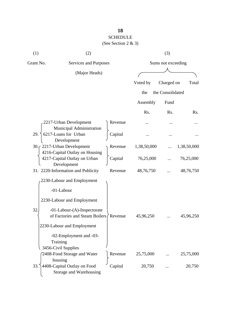# SCHEDULE

| (1)                                                                                                                                                        | (2)                                                               |                    |           | (3)              |           |
|------------------------------------------------------------------------------------------------------------------------------------------------------------|-------------------------------------------------------------------|--------------------|-----------|------------------|-----------|
| Grant No.<br>Services and Purposes                                                                                                                         |                                                                   | Sums not exceeding |           |                  |           |
|                                                                                                                                                            | (Major Heads)                                                     |                    |           |                  |           |
|                                                                                                                                                            |                                                                   |                    | Voted by  | Charged on       | Total     |
|                                                                                                                                                            |                                                                   |                    | the       | the Consolidated |           |
|                                                                                                                                                            |                                                                   |                    | Assembly  | Fund             |           |
|                                                                                                                                                            |                                                                   |                    | Rs.       | Rs.              | Rs.       |
|                                                                                                                                                            | 2217-Urban Development<br>Municipal Administration                | Revenue            |           | $\ddotsc$        |           |
| 6217-Loans for Urban<br>29.<br>Development<br>30. (2217-Urban Development<br>4216-Capital Outlay on Housing<br>4217-Capital Outlay on Urban<br>Development | Capital                                                           |                    |           |                  |           |
|                                                                                                                                                            | Revenue                                                           | 1,38,50,000        |           | 1,38,50,000      |           |
|                                                                                                                                                            | Capital                                                           | 76,25,000          |           | 76,25,000        |           |
|                                                                                                                                                            | 31. 2220-Information and Publicity                                | Revenue            | 48,76,750 |                  | 48,76,750 |
|                                                                                                                                                            | 2230-Labour and Employment<br>-01-Labour                          |                    |           |                  |           |
|                                                                                                                                                            | 2230-Labour and Employment                                        |                    |           |                  |           |
| 32                                                                                                                                                         | -01-Labour-(A)-Inspectorate<br>of Factories and Steam Boilers     | Revenue            | 45,96,250 |                  | 45,96,250 |
|                                                                                                                                                            | 2230-Labour and Employment                                        |                    |           |                  |           |
|                                                                                                                                                            | -02-Employment and -03-<br>Training<br>3456-Civil Supplies        |                    |           |                  |           |
|                                                                                                                                                            | 2408-Food Storage and Water                                       | Revenue            | 25,75,000 |                  | 25,75,000 |
| 33.                                                                                                                                                        | housing<br>4408-Capital Outlay on Food<br>Storage and Warehousing | Capital            | 20,750    |                  | 20,750    |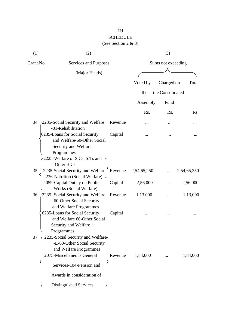# SCHEDULE

| (1)       | (2)                                                                                                 |                                             | (3)         |                  |             |
|-----------|-----------------------------------------------------------------------------------------------------|---------------------------------------------|-------------|------------------|-------------|
| Grant No. |                                                                                                     | Sums not exceeding<br>Services and Purposes |             |                  |             |
|           | (Major Heads)                                                                                       |                                             |             |                  |             |
|           |                                                                                                     |                                             | Voted by    | Charged on       | Total       |
|           |                                                                                                     |                                             | the         | the Consolidated |             |
|           |                                                                                                     |                                             | Assembly    | Fund             |             |
|           |                                                                                                     |                                             | Rs.         | Rs.              | Rs.         |
|           | 34. 2235-Social Security and Welfare<br>-01-Rehabilitation                                          | Revenue                                     |             |                  |             |
|           | 6235-Loans for Social Security<br>and Welfare-60-Other Social<br>Security and Welfare               | Capital                                     |             |                  |             |
|           | Programmes<br>2225-Welfare of S.Cs, S.Ts and<br>Other B.Cs                                          |                                             |             |                  |             |
| 35.       | 2235-Social Security and Welfare<br>2236-Nutrition (Social Welfare)                                 | Revenue                                     | 2,54,65,250 |                  | 2,54,65,250 |
|           | 4059-Capital Outlay on Public<br>Works (Social Welfare)                                             | Capital                                     | 2,56,000    |                  | 2,56,000    |
|           | 36. 2235- Social Security and Welfare<br>-60-Other Social Security<br>and Welfare Programmes        | Revenue                                     | 1,13,000    |                  | 1,13,000    |
|           | 6235-Loans for Social Security<br>and Welfare 60-Other Social<br>Security and Welfare<br>Programmes | Capital                                     |             |                  |             |
| 37.       | 2235-Social Security and Welfare-<br>-E-60-Other Social Security<br>and Welfare Programmes          |                                             |             |                  |             |
|           | 2075-Miscellaneous General<br>Services-104-Pension and<br>Awards in consideration of                | Revenue                                     | 1,84,000    |                  | 1,84,000    |
|           | Distinguished Services                                                                              |                                             |             |                  |             |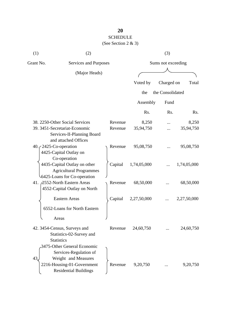# SCHEDULE

| (1)                      | (2)                                                                                                                                        |  |         | (3)                |                  |             |  |
|--------------------------|--------------------------------------------------------------------------------------------------------------------------------------------|--|---------|--------------------|------------------|-------------|--|
| Grant No.                | Services and Purposes                                                                                                                      |  |         | Sums not exceeding |                  |             |  |
|                          | (Major Heads)                                                                                                                              |  |         |                    |                  |             |  |
|                          |                                                                                                                                            |  |         | Voted by           | Charged on       | Total       |  |
|                          |                                                                                                                                            |  |         | the                | the Consolidated |             |  |
|                          |                                                                                                                                            |  |         | Assembly           | Fund             |             |  |
|                          |                                                                                                                                            |  |         | Rs.                | Rs.              | Rs.         |  |
|                          | 38. 2250-Other Social Services                                                                                                             |  | Revenue | 8,250              |                  | 8,250       |  |
|                          | 39. 3451-Secretariat-Economic<br>Services-II-Planning Board<br>and attached Offices                                                        |  | Revenue | 35,94,750          |                  | 35,94,750   |  |
| $40.72425$ -Co-operation | 4425-Capital Outlay on<br>Co-operation                                                                                                     |  | Revenue | 95,08,750          |                  | 95,08,750   |  |
|                          | 4435-Capital Outlay on other<br><b>Agricultural Programmes</b><br>6425-Loans for Co-operation                                              |  | Capital | 1,74,05,000        |                  | 1,74,05,000 |  |
|                          | 41. 2552-North Eastern Areas<br>4552-Capital Outlay on North                                                                               |  | Revenue | 68,50,000          |                  | 68,50,000   |  |
|                          | <b>Eastern Areas</b>                                                                                                                       |  | Capital | 2,27,50,000        |                  | 2,27,50,000 |  |
|                          | 6552-Loans for North Eastern<br>Areas                                                                                                      |  |         |                    |                  |             |  |
|                          | 42. 3454-Census, Surveys and<br>Statistics-02-Survey and<br><b>Statistics</b>                                                              |  | Revenue | 24,60,750          |                  | 24,60,750   |  |
| 43.                      | 3475-Other General Economic<br>Services-Regulation of<br>Weight and Measures<br>2216-Housing-01-Government<br><b>Residential Buildings</b> |  | Revenue | 9,20,750           |                  | 9,20,750    |  |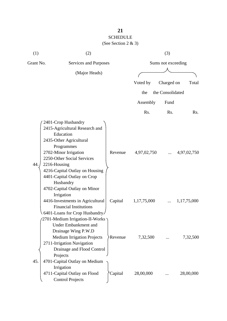| (1)       | (2)                                                                                                                                                                                                                                                                                                            | (3)     |                    |                  |             |  |
|-----------|----------------------------------------------------------------------------------------------------------------------------------------------------------------------------------------------------------------------------------------------------------------------------------------------------------------|---------|--------------------|------------------|-------------|--|
| Grant No. | Services and Purposes                                                                                                                                                                                                                                                                                          |         | Sums not exceeding |                  |             |  |
|           | (Major Heads)                                                                                                                                                                                                                                                                                                  |         |                    |                  |             |  |
|           |                                                                                                                                                                                                                                                                                                                |         | Voted by           | Charged on       | Total       |  |
|           |                                                                                                                                                                                                                                                                                                                |         | the                | the Consolidated |             |  |
|           |                                                                                                                                                                                                                                                                                                                |         | Assembly           | Fund             |             |  |
|           |                                                                                                                                                                                                                                                                                                                |         | Rs.                | Rs.              | Rs.         |  |
| 44.       | 2401-Crop Husbandry<br>2415-Agricultural Research and<br>Education<br>2435-Other Agricultural<br>Programmes<br>2702-Minor Irrigation<br>2250-Other Social Services<br>2216-Housing<br>4216-Capital Outlay on Housing<br>4401-Capital Outlay on Crop<br>Husbandry<br>4702-Capital Outlay on Minor<br>Irrigation | Revenue | 4,97,02,750        |                  | 4,97,02,750 |  |
|           | 4416-Investments in Agricultural<br><b>Financial Institutions</b><br>6401-Loans for Crop Husbandry<br>ר 2701-Medium Irrigation-II-Works?<br><b>Under Embankment and</b><br>Drainage Wing P.W.D                                                                                                                 | Capital | 1,17,75,000        |                  | 1,17,75,000 |  |
| 45.       | <b>Medium Irrigation Projects</b><br>2711-Irrigation Navigation<br>Drainage and Flood Control<br>Projects<br>4701-Capital Outlay on Medium<br>Irrigation                                                                                                                                                       | Revenue | 7,32,500           |                  | 7,32,500    |  |
|           | 4711-Capital Outlay on Flood<br><b>Control Projects</b>                                                                                                                                                                                                                                                        | Capital | 28,00,000          |                  | 28,00,000   |  |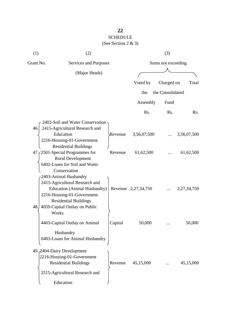| (1)       | (2)                                                                                                                                                                                                    |         | (3)                 |                  |                |  |
|-----------|--------------------------------------------------------------------------------------------------------------------------------------------------------------------------------------------------------|---------|---------------------|------------------|----------------|--|
| Grant No. | Services and Purposes                                                                                                                                                                                  |         | Sums not exceeding  |                  |                |  |
|           | (Major Heads)                                                                                                                                                                                          |         |                     |                  |                |  |
|           |                                                                                                                                                                                                        |         | Voted by            | Charged on       | Total          |  |
|           |                                                                                                                                                                                                        |         | the                 | the Consolidated |                |  |
|           |                                                                                                                                                                                                        |         | Assembly            | Fund             |                |  |
|           |                                                                                                                                                                                                        |         | Rs.                 | R <sub>s</sub> . | Rs.            |  |
| 46.       | 2402-Soil and Water Conservation<br>2415-Agricultural Research and<br>Education                                                                                                                        | Revenue | 3,56,07,500         |                  | 3,56,07,500    |  |
|           | 2216-Housing-01-Government<br><b>Residential Buildings</b><br>47. (2501-Special Programmes for<br><b>Rural Development</b><br>6402-Loans for Soil and Water                                            | Revenue | 61,62,500           |                  | 61,62,500      |  |
| 48.       | Conservation<br>2403-Animal Husbandry<br>2415-Agricultural Research and<br>Education (Animal Husbandry)<br>2216-Housing-01-Government<br><b>Residential Buildings</b><br>4059-Capital Outlay on Public |         | Revenue 2,27,34,750 |                  | 2, 27, 34, 750 |  |
|           | Works<br>4403-Capital Outlay on Animal<br>Husbandry                                                                                                                                                    | Capital | 50,000              |                  | 50,000         |  |
|           | 6403-Loans for Animal Husbandry<br>49. 2404-Dairy Development<br>2216-Housing-01-Government<br><b>Residential Buildings</b><br>2515-Agricultural Research and<br>Education                             | Revenue | 45,15,000           |                  | 45,15,000      |  |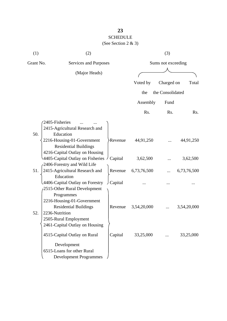## **23** SCHEDULE

| (1)       | (2)                                                                                                                                          |                    |                  | (3)              |             |
|-----------|----------------------------------------------------------------------------------------------------------------------------------------------|--------------------|------------------|------------------|-------------|
| Grant No. | Services and Purposes                                                                                                                        | Sums not exceeding |                  |                  |             |
|           | (Major Heads)                                                                                                                                |                    |                  |                  |             |
|           |                                                                                                                                              |                    | Voted by         | Charged on       | Total       |
|           |                                                                                                                                              |                    | the              | the Consolidated |             |
|           |                                                                                                                                              |                    | Assembly         | Fund             |             |
|           |                                                                                                                                              |                    | R <sub>s</sub> . | R <sub>s</sub> . | Rs.         |
| 50.       | 2405-Fisheries<br>2415-Agricultural Research and<br>Education<br>2216-Housing-01-Government                                                  | Revenue            | 44,91,250        |                  | 44,91,250   |
|           | <b>Residential Buildings</b><br>4216-Capital Outlay on Housing<br>4405-Capital Outlay on Fisheries J Capital<br>-2406-Forestry and Wild Life |                    | 3,62,500         |                  | 3,62,500    |
| 51.       | 2415-Agricultural Research and<br>Education                                                                                                  | Revenue            | 6,73,76,500      |                  | 6,73,76,500 |
|           | 4406-Capital Outlay on Forestry<br>2515-Other Rural Development<br>Programmes<br>2216-Housing-01-Government                                  | Capital            |                  |                  |             |
| 52.       | <b>Residential Buildings</b><br>2236-Nutrition<br>2505-Rural Employment<br>2461-Capital Outlay on Housing                                    | Revenue            | 3,54,20,000      |                  | 3,54,20,000 |
|           | 4515-Capital Outlay on Rural<br>Development                                                                                                  | Capital            | 33,25,000        |                  | 33,25,000   |
|           | 6515-Loans for other Rural                                                                                                                   |                    |                  |                  |             |
|           | <b>Development Programmes</b>                                                                                                                |                    |                  |                  |             |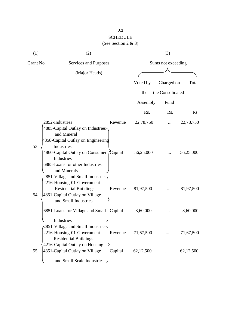| (1)       | (2)                                                                                                                                                       |                    |           | (3)              |           |
|-----------|-----------------------------------------------------------------------------------------------------------------------------------------------------------|--------------------|-----------|------------------|-----------|
| Grant No. | Services and Purposes                                                                                                                                     | Sums not exceeding |           |                  |           |
|           | (Major Heads)                                                                                                                                             |                    |           |                  |           |
|           |                                                                                                                                                           |                    | Voted by  | Charged on       | Total     |
|           |                                                                                                                                                           |                    | the       | the Consolidated |           |
|           |                                                                                                                                                           |                    | Assembly  | Fund             |           |
|           |                                                                                                                                                           |                    | Rs.       | Rs.              | Rs.       |
|           | 2852-Industries<br>4885-Capital Outlay on Industries -<br>and Mineral<br>4858-Capital Outlay on Engineering                                               | Revenue            | 22,78,750 |                  | 22,78,750 |
| 53.       | Industries<br>4860-Capital Outlay on Consumer<br>Industries<br>6885-Loans for other Industries<br>and Minerals                                            | <i>Capital</i>     | 56,25,000 |                  | 56,25,000 |
| 54.       | 2851-Village and Small Industries<br>2216-Housing-01-Government<br><b>Residential Buildings</b><br>4851-Capital Outlay on Village<br>and Small Industries | Revenue            | 81,97,500 |                  | 81,97,500 |
|           | 6851-Loans for Village and Small<br>Industries                                                                                                            | Capital            | 3,60,000  |                  | 3,60,000  |
|           | $\sqrt{2851}$ -Village and Small Industries<br>2216-Housing-01-Government<br><b>Residential Buildings</b><br>4216-Capital Outlay on Housing               | Revenue            | 71,67,500 |                  | 71,67,500 |
| 55.       | 4851-Capital Outlay on Village<br>and Small Scale Industries                                                                                              | Capital            | 62,12,500 |                  | 62,12,500 |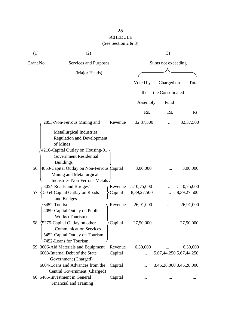| (1)       | (2)                                                                                                                                                    |         |                | (3)                |                         |
|-----------|--------------------------------------------------------------------------------------------------------------------------------------------------------|---------|----------------|--------------------|-------------------------|
| Grant No. | Services and Purposes                                                                                                                                  |         |                | Sums not exceeding |                         |
|           | (Major Heads)                                                                                                                                          |         |                |                    |                         |
|           |                                                                                                                                                        |         | Voted by       | Charged on         | Total                   |
|           |                                                                                                                                                        |         |                |                    |                         |
|           |                                                                                                                                                        |         | the            | the Consolidated   |                         |
|           |                                                                                                                                                        |         | Assembly       | Fund               |                         |
|           |                                                                                                                                                        |         | Rs.            | Rs.                | Rs.                     |
|           | 2853-Non-Ferrous Mining and                                                                                                                            | Revenue | 32, 37, 500    |                    | 32, 37, 500             |
|           | <b>Metallurgical Industries</b><br><b>Regulation and Development</b><br>of Mines<br>4216-Capital Outlay on Housing-01<br><b>Government Residential</b> |         |                |                    |                         |
|           | <b>Buildings</b><br>56. 4853-Capital Outlay on Non-Ferrous Capital<br>Mining and Metallurgical<br>Industries-Non-Ferrous Metals                        |         | 3,00,000       |                    | 3,00,000                |
|           | 3054-Roads and Bridges                                                                                                                                 | Revenue | 5, 10, 75, 000 |                    | 5,10,75,000             |
| 57.       | 5054-Capital Outlay on Roads                                                                                                                           | Capital | 8,39,27,500    |                    | 8, 39, 27, 500          |
|           | and Bridges<br>3452-Tourism<br>4059-Capital Outlay on Public<br>Works (Tourism)                                                                        | Revenue | 26,91,000      |                    | 26,91,000               |
|           | 58. $\frac{5275}{2}$ -Capital Outlay on other<br><b>Communication Services</b><br>5452-Capital Outlay on Tourism<br>7452-Loans for Tourism             | Capital | 27,50,000      |                    | 27,50,000               |
|           | 59. 3606-Aid Materials and Equipment                                                                                                                   | Revenue | 6,30,000       |                    | 6,30,000                |
|           | 6003-Internal Debt of the State                                                                                                                        | Capital | $\cdots$       |                    | 5,67,44,250 5,67,44,250 |
|           | Government (Charged)                                                                                                                                   |         |                |                    |                         |
|           | 6004-Loans and Advances from the                                                                                                                       | Capital |                |                    | 3,45,28,000 3,45,28,000 |
|           | Central Government (Charged)                                                                                                                           |         |                |                    |                         |
|           | 60. 5465-Investment in General<br>Financial and Training                                                                                               | Capital |                |                    |                         |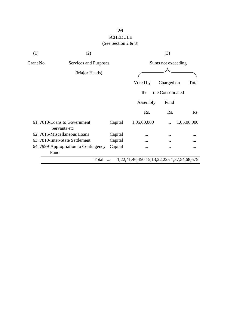| (1)       | (2)                                           |         | (3)                                        |                    |             |
|-----------|-----------------------------------------------|---------|--------------------------------------------|--------------------|-------------|
| Grant No. | Services and Purposes                         |         |                                            | Sums not exceeding |             |
|           | (Major Heads)                                 |         |                                            |                    |             |
|           |                                               |         | Voted by                                   | Charged on         | Total       |
|           |                                               |         | the                                        | the Consolidated   |             |
|           |                                               |         | Assembly                                   | Fund               |             |
|           |                                               |         | Rs.                                        | Rs.                | Rs.         |
|           | 61.7610-Loans to Government<br>Servants etc   | Capital | 1,05,00,000                                |                    | 1,05,00,000 |
|           | 62. 7615-Miscellaneous Loans                  | Capital |                                            | $\ddotsc$          |             |
|           | 63. 7810-Inter-State Settlement               | Capital |                                            |                    |             |
|           | 64. 7999-Appropriation to Contingency<br>Fund | Capital |                                            |                    |             |
|           | Total                                         |         | 1,22,41,46,450 15,13,22,225 1,37,54,68,675 |                    |             |
|           |                                               |         |                                            |                    |             |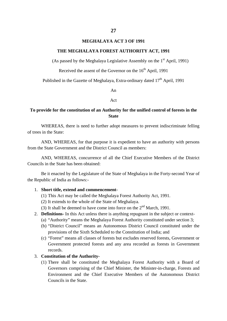#### **MEGHALAYA ACT 3 OF 1991**

#### **THE MEGHALAYA FOREST AUTHORITY ACT, 1991**

(As passed by the Meghalaya Legislative Assembly on the  $1<sup>st</sup>$  April, 1991)

Received the assent of the Governor on the  $16<sup>th</sup>$  April, 1991

Published in the Gazette of Meghalaya, Extra-ordinary dated  $17<sup>th</sup>$  April, 1991

An

#### Act

### **To provide for the constitution of an Authority for the unified control of forests in the State**

WHEREAS, there is need to further adopt measures to prevent indiscriminate felling of trees in the State:

AND, WHEREAS, for that purpose it is expedient to have an authority with persons from the State Government and the District Council as members:

AND, WHEREAS, concurrence of all the Chief Executive Members of the District Councils in the State has been obtained:

Be it enacted by the Legislature of the State of Meghalaya in the Forty-second Year of the Republic of India as follows:-

#### 1. **Short title, extend and commencement-**

- (1) This Act may be called the Meghalaya Forest Authority Act, 1991.
- (2) It extends to the whole of the State of Meghalaya.
- (3) It shall be deemed to have come into force on the  $2<sup>nd</sup>$  March, 1991.
- 2. **Definitions-** In this Act unless there is anything repugnant in the subject or context-
	- (a) "Authority" means the Meghalaya Forest Authority constituted under section 3;
	- (b) "District Council" means an Autonomous District Council constituted under the provisions of the Sixth Scheduled to the Constitution of India; and
	- (c) "Forest" means all classes of forests but excludes reserved forests, Government or Government protected forests and any area recorded as forests in Government records.

### 3. **Constitution of the Authority-**

(1) There shall be constituted the Meghalaya Forest Authority with a Board of Governors comprising of the Chief Minister, the Minister-in-charge, Forests and Environment and the Chief Executive Members of the Autonomous District Councils in the State.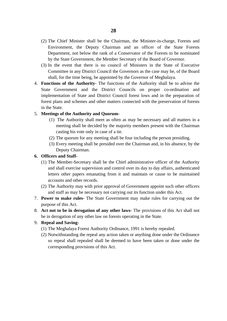- (2) The Chief Minister shall be the Chairman, the Minister-in-charge, Forests and Environment, the Deputy Chairman and an officer of the State Forests Department, not below the rank of a Conservator of the Forests to be nominated by the State Government, the Member Secretary of the Board of Governor.
- (3) In the event that there is no council of Ministers in the State of Executive Committee in any District Council the Governors as the case may be, of the Board shall, for the time being, be appointed by the Governor of Meghalaya.
- 4. **Functions of the Authority** The functions of the Authority shall be to advise the State Government and the District Councils on proper co-ordination and implementation of State and District Council forest lows and in the preparation of forest plans and schemes and other matters connected with the preservation of forests in the State.

### 5. **Meetings of the Authority and Quorum-**

- (1) The Authority shall meet as often as may be necessary and all matters in a meeting shall be decided by the majority members present with the Chairman casting his vote only in case of a tie.
- (2) The quorum for any meeting shall be four including the person presiding.
- (3) Every meeting shall be presided over the Chairman and, in his absence, by the Deputy Chairman.

### **6. Officers and Staff-**

- (1) The Member-Secretary shall be the Chief administrative officer of the Authority and shall exercise supervision and control over its day to day affairs, authenticated letters other papers emanating from it and maintain or cause to be maintained accounts and other records.
- (2) The Authority may with prior approval of Government appoint such other officers and staff as may be necessary not carrying out its function under this Act.
- 7. **Power to make rules-** The State Government may make rules for carrying out the purpose of this Act.
- 8. **Act not to be in derogation of any other laws-** The provisions of this Act shall not be in derogation of any other law on forests operating in the State.

#### 9. **Repeal and Saving-**

- (1) The Meghalaya Forest Authority Ordinance, 1991 is hereby repealed.
- (2) Notwithstanding the repeal any action taken or anything done under the Ordinance so repeal shall repealed shall be deemed to have been taken or done under the corresponding provisions of this Act.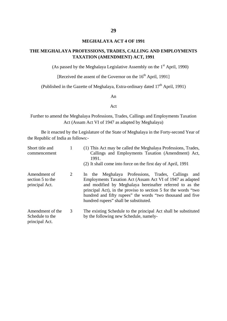### **MEGHALAYA ACT 4 OF 1991**

### **THE MEGHALAYA PROFESSIONS, TRADES, CALLING AND EMPLOYMENTS TAXATION (AMENDMENT) ACT, 1991**

(As passed by the Meghalaya Legislative Assembly on the  $1<sup>st</sup>$  April, 1990)

[Received the assent of the Governor on the  $16<sup>th</sup>$  April, 1991]

(Published in the Gazette of Meghalaya, Extra-ordinary dated  $17<sup>th</sup>$  April, 1991)

An

#### Act

Further to amend the Meghalaya Professions, Trades, Callings and Employments Taxation Act (Assam Act VI of 1947 as adapted by Meghalaya)

| Short title and<br>commencement                       |   | (1) This Act may be called the Meghalaya Professions, Trades,<br>Callings and Employments Taxation (Amendment) Act,<br>1991.<br>(2) It shall come into force on the first day of April, 1991                                                                                                                                                            |
|-------------------------------------------------------|---|---------------------------------------------------------------------------------------------------------------------------------------------------------------------------------------------------------------------------------------------------------------------------------------------------------------------------------------------------------|
| Amendment of<br>section 5 to the<br>principal Act.    | 2 | In the Meghalaya Professions, Trades, Callings<br>and<br>Employments Taxation Act (Assam Act VI of 1947 as adapted<br>and modified by Meghalaya hereinafter referred to as the<br>principal Act), in the proviso to section 5 for the words "two<br>hundred and fifty rupees" the words "two thousand and five<br>hundred rupees" shall be substituted. |
| Amendment of the<br>Schedule to the<br>principal Act. | 3 | The existing Schedule to the principal Act shall be substituted<br>by the following new Schedule, namely-                                                                                                                                                                                                                                               |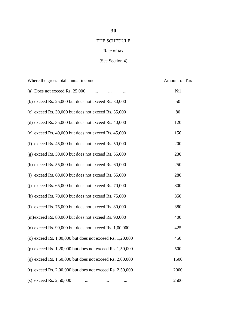### THE SCHEDULE

### Rate of tax

### (See Section 4)

| Where the gross total annual income                          | Amount of Tax |
|--------------------------------------------------------------|---------------|
| (a) Does not exceed Rs. 25,000                               | Nil           |
| (b) exceed Rs. $25,000$ but does not exceed Rs. $30,000$     | 50            |
| (c) exceed Rs. 30,000 but does not exceed Rs. 35,000         | 80            |
| (d) exceed Rs. $35,000$ but does not exceed Rs. $40,000$     | 120           |
| (e) exceed Rs. 40,000 but does not exceed Rs. 45,000         | 150           |
| (f) exceed Rs. $45,000$ but does not exceed Rs. $50,000$     | 200           |
| $(g)$ exceed Rs. 50,000 but does not exceed Rs. 55,000       | 230           |
| (h) exceed Rs. $55,000$ but does not exceed Rs. $60,000$     | 250           |
| (i) exceed Rs. $60,000$ but does not exceed Rs. $65,000$     | 280           |
| (i) exceed Rs. $65,000$ but does not exceed Rs. $70,000$     | 300           |
| $(k)$ exceed Rs. 70,000 but does not exceed Rs. 75,000       | 350           |
| (1) exceed Rs. $75,000$ but does not exceed Rs. $80,000$     | 380           |
| (m)exceed Rs. 80,000 but does not exceed Rs. 90,000          | 400           |
| (n) exceed Rs. $90,000$ but does not exceed Rs. $1,00,000$   | 425           |
| (o) exceed Rs. $1,00,000$ but does not exceed Rs. $1,20,000$ | 450           |
| (p) exceed Rs. $1,20,000$ but does not exceed Rs. $1,50,000$ | 500           |
| (q) exceed Rs. $1,50,000$ but does not exceed Rs. $2,00,000$ | 1500          |
| (r) exceed Rs. $2,00,000$ but does not exceed Rs. $2,50,000$ | 2000          |
| (s) exceed Rs. $2,50,000$                                    | 2500          |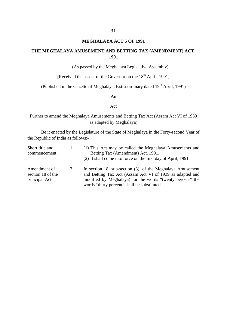### **MEGHALAYA ACT 5 OF 1991**

### **THE MEGHALAYA AMUSEMENT AND BETTING TAX (AMENDMENT) ACT, 1991**

(As passed by the Meghalaya Legislative Assembly)

[Received the assent of the Governor on the  $18<sup>th</sup>$  April, 1991]

(Published in the Gazette of Meghalaya, Extra-ordinary dated  $19<sup>th</sup>$  April, 1991)

An

#### Act

Further to amend the Meghalaya Amusements and Betting Tax Act (Assam Act VI of 1939 as adapted by Meghalaya)

| Short title and                                     |   | (1) This Act may be called the Meghalaya Amusements and                                                                                                                                                                             |
|-----------------------------------------------------|---|-------------------------------------------------------------------------------------------------------------------------------------------------------------------------------------------------------------------------------------|
| commencement                                        |   | Betting Tax (Amendment) Act, 1991.                                                                                                                                                                                                  |
|                                                     |   | (2) It shall come into force on the first day of April, 1991                                                                                                                                                                        |
| Amendment of<br>section 18 of the<br>principal Act. | 2 | In section 18, sub-section (3), of the Meghalaya Amusement<br>and Betting Tax Act (Assam Act VI of 1939 as adapted and<br>modified by Meghalaya) for the words "twenty percent" the<br>words "thirty percent" shall be substituted. |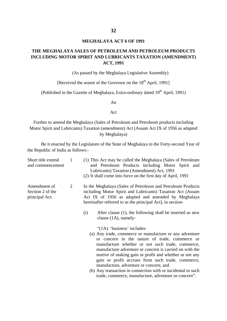### **MEGHALAYA ACT 6 OF 1991**

### **THE MEGHALAYA SALES OF PETROLEUM AND PETROLEUM PRODUCTS INCLUDING MOTOR SPIRIT AND LUBRICANTS TAXATION (AMENDMENT) ACT, 1991**

(As passed by the Meghalaya Legislative Assembly)

[Received the assent of the Governor on the  $18<sup>th</sup>$  April, 1991]

(Published in the Gazette of Meghalaya, Extra-ordinary dated  $19<sup>th</sup>$  April, 1991)

An

#### Act

Further to amend the Meghalaya (Sales of Petroleum and Petroleum products including Motor Spirit and Lubricants) Taxation (amendment) Act (Assam Act IX of 1956 as adapted by Meghalaya)

| Short title extend<br>and commencement             | 1 | (1) This Act may be called the Meghalaya (Sales of Petroleum<br>and Petroleum Products including Motor Spirit and<br>Lubricants) Taxation (Amendment) Act, 1991<br>(2) It shall come into force on the first day of April, 1991                                                                                                                                                                                                                                                                                                                                         |
|----------------------------------------------------|---|-------------------------------------------------------------------------------------------------------------------------------------------------------------------------------------------------------------------------------------------------------------------------------------------------------------------------------------------------------------------------------------------------------------------------------------------------------------------------------------------------------------------------------------------------------------------------|
| Amendment of<br>Section 2 of the<br>principal Act. | 2 | In the Meghalaya (Sales of Petroleum and Petroleum Products<br>including Motor Spirit and Lubricants) Taxation Act (Assam<br>Act IX of 1956 as adapted and amended by Meghalaya<br>hereinafter referred to as the principal Act), in section-<br>After clause (1), the following shall be inserted as new<br>(i)                                                                                                                                                                                                                                                        |
|                                                    |   | clause $(1A)$ , namely-<br>" $(1A)$ . 'business' includes-<br>(a) Any trade, commerce or manufacture or any adventure<br>or concern in the nature of trade, commerce or<br>manufacture whether or not such trade, commerce,<br>manufacture adventure or concern is carried on with the<br>motive of making gain or profit and whether or not any<br>gain or profit accrues from such trade, commerce,<br>manufacture, adventure or concern; and<br>(b) Any transaction in connection with or incidental to such<br>trade, commerce, manufacture, adventure or concern". |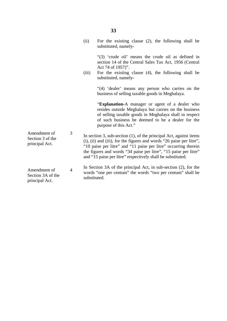|                                                     |                | (ii)         | For the existing clause $(2)$ , the following shall be<br>substituted, namely-                                                                                                                                                                                                                                                                      |
|-----------------------------------------------------|----------------|--------------|-----------------------------------------------------------------------------------------------------------------------------------------------------------------------------------------------------------------------------------------------------------------------------------------------------------------------------------------------------|
|                                                     |                | (iii)        | "(3) 'crude oil' means the crude oil as defined in<br>section 14 of the Central Sales Tax Act, 1956 (Central<br>Act 74 of 1957)".<br>For the existing clause (4), the following shall be<br>substituted, namely-                                                                                                                                    |
|                                                     |                |              | "(4) 'dealer' means any person who carries on the<br>business of selling taxable goods in Meghalaya.                                                                                                                                                                                                                                                |
|                                                     |                |              | "Explanation-A manager or agent of a dealer who<br>resides outside Meghalaya but carries on the business<br>of selling taxable goods in Meghalaya shall in respect<br>of such business be deemed to be a dealer for the<br>purpose of this Act."                                                                                                    |
| Amendment of<br>Section 3 of the<br>principal Act.  | 3              |              | In section 3, sub-section $(1)$ , of the principal Act, against items<br>(i), (ii) and (iii), for the figures and words "26 paise per litre",<br>"10 paise per litre" and "11 paise per litre" occurring therein<br>the figures and words "34 paise per litre", "15 paise per litre"<br>and "15 paise per litre" respectively shall be substituted. |
| Amendment of<br>Section 3A of the<br>principal Act. | $\overline{4}$ | substituted. | In Section 3A of the principal Act, in sub-section (2), for the<br>words "one per centum" the words "two per centum" shall be                                                                                                                                                                                                                       |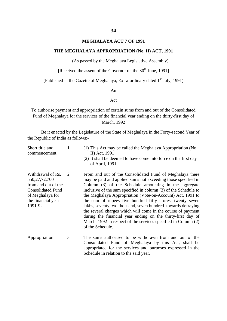### **MEGHALAYA ACT 7 OF 1991**

#### **THE MEGHALAYA APPROPRIATION (No. II) ACT, 1991**

(As passed by the Meghalaya Legislative Assembly)

[Received the assent of the Governor on the  $30<sup>th</sup>$  June, 1991]

(Published in the Gazette of Meghalaya, Extra-ordinary dated 1<sup>st</sup> July, 1991)

An

### Act

To authorise payment and appropriation of certain sums from and out of the Consolidated Fund of Meghalaya for the services of the financial year ending on the thirty-first day of March, 1992

| Short title and<br>commencement                                                                                                               | 1 | (1) This Act may be called the Meghalaya Appropriation (No.<br>II) Act, 1991<br>(2) It shall be deemed to have come into force on the first day<br>of April, 1991                                                                                                                                                                                                                                                                                                                                                                                                                                                                                                     |
|-----------------------------------------------------------------------------------------------------------------------------------------------|---|-----------------------------------------------------------------------------------------------------------------------------------------------------------------------------------------------------------------------------------------------------------------------------------------------------------------------------------------------------------------------------------------------------------------------------------------------------------------------------------------------------------------------------------------------------------------------------------------------------------------------------------------------------------------------|
| Withdrawal of Rs.<br>550, 27, 72, 700<br>from and out of the<br><b>Consolidated Fund</b><br>of Meghalaya for<br>the financial year<br>1991-92 | 2 | From and out of the Consolidated Fund of Meghalaya there<br>may be paid and applied sums not exceeding those specified in<br>Column (3) of the Schedule amounting in the aggregate<br>inclusive of the sum specified in column (3) of the Schedule to<br>the Meghalaya Appropriation (Vote-on-Account) Act, 1991 to<br>the sum of rupees five hundred fifty crores, twenty seven<br>lakhs, seventy two thousand, seven hundred towards defraying<br>the several charges which will come in the course of payment<br>during the financial year ending on the thirty-first day of<br>March, 1992 in respect of the services specified in Column (2)<br>of the Schedule. |
| Appropriation                                                                                                                                 | 3 | The sums authorised to be withdrawn from and out of the<br>Consolidated Fund of Meghalaya by this Act, shall be<br>appropriated for the services and purposes expressed in the<br>Schedule in relation to the said year.                                                                                                                                                                                                                                                                                                                                                                                                                                              |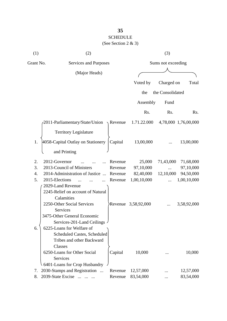| (1)              | (2)                                      |                       |             | (3)                |                      |  |  |
|------------------|------------------------------------------|-----------------------|-------------|--------------------|----------------------|--|--|
| Grant No.        |                                          | Services and Purposes |             | Sums not exceeding |                      |  |  |
|                  | (Major Heads)                            |                       |             |                    |                      |  |  |
|                  |                                          |                       | Voted by    | Charged on         | Total                |  |  |
|                  |                                          |                       |             |                    |                      |  |  |
|                  |                                          |                       | the         | the Consolidated   |                      |  |  |
|                  |                                          |                       | Assembly    | Fund               |                      |  |  |
|                  |                                          |                       | Rs.         | Rs.                | Rs.                  |  |  |
|                  | 2011-Parliamentary/State/Union           | $\sqrt{$ Revenue      | 1.71.22.000 |                    | 4,78,000 1,76,00,000 |  |  |
|                  | <b>Territory Legislature</b>             |                       |             |                    |                      |  |  |
| 1.               | 4058-Capital Outlay on Stationery        | Capital               | 13,00,000   |                    | 13,00,000            |  |  |
|                  | and Printing                             |                       |             |                    |                      |  |  |
| 2.               | 2012-Governor                            | Revenue               | 25,000      | 71,43,000          | 71,68,000            |  |  |
| 3.               | 2013-Council of Ministers                | Revenue               | 97,10,000   |                    | 97,10,000            |  |  |
| $\overline{4}$ . | 2014-Administration of Justice           | Revenue               | 82,40,000   | 12,10,000          | 94,50,000            |  |  |
| 5.               | 2015-Elections                           | Revenue               | 1,00,10,000 |                    | 1,00,10,000          |  |  |
|                  | 2029-Land Revenue                        |                       |             |                    |                      |  |  |
|                  | 2245-Relief on account of Natural        |                       |             |                    |                      |  |  |
|                  | Calamities                               |                       |             |                    |                      |  |  |
|                  | 2250-Other Social Services               | Revenue               | 3,58,92,000 |                    | 3,58,92,000          |  |  |
|                  | Services                                 |                       |             |                    |                      |  |  |
|                  | 3475-Other General Economic              |                       |             |                    |                      |  |  |
|                  | Services-201-Land Ceilings               |                       |             |                    |                      |  |  |
| 6.               | 6225-Loans for Welfare of                |                       |             |                    |                      |  |  |
|                  | <b>Scheduled Castes, Scheduled</b>       |                       |             |                    |                      |  |  |
|                  | Tribes and other Backward                |                       |             |                    |                      |  |  |
|                  | Classes                                  |                       |             |                    |                      |  |  |
|                  | 6250-Loans for Other Social              | Capital               | 10,000      |                    | 10,000               |  |  |
|                  | Services                                 |                       |             |                    |                      |  |  |
|                  | 6401-Loans for Crop Husbandry            |                       |             |                    |                      |  |  |
| 7.               | 2030-Stamps and Registration<br>$\ddots$ | Revenue               | 12,57,000   |                    | 12,57,000            |  |  |
| 8.               | 2039-State Excise                        | Revenue               | 83,54,000   |                    | 83,54,000            |  |  |
|                  |                                          |                       |             |                    |                      |  |  |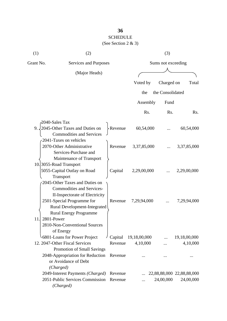# **36**

# SCHEDULE

(See Section 2 & 3)

| (1)       | (2)                                          |          |              | (3)                |                           |
|-----------|----------------------------------------------|----------|--------------|--------------------|---------------------------|
| Grant No. | Services and Purposes                        |          |              | Sums not exceeding |                           |
|           | (Major Heads)                                |          |              |                    |                           |
|           |                                              |          | Voted by     | Charged on         | Total                     |
|           |                                              |          |              |                    |                           |
|           |                                              |          | the          | the Consolidated   |                           |
|           |                                              |          | Assembly     | Fund               |                           |
|           |                                              |          | Rs.          | Rs.                | Rs.                       |
|           | 2040-Sales Tax                               |          |              |                    |                           |
|           | 9. $\sqrt{2045}$ -Other Taxes and Duties on  | -Revenue | 60,54,000    |                    | 60,54,000                 |
|           | <b>Commodities and Services</b>              |          |              |                    |                           |
|           | 2041-Taxes on vehicles                       |          |              |                    |                           |
|           | 2070-Other Administrative                    | Revenue  | 3,37,85,000  |                    | 3,37,85,000               |
|           | Services-Purchase and                        |          |              |                    |                           |
|           | Maintenance of Transport                     |          |              |                    |                           |
|           | 10.3055-Road Transport                       |          |              |                    |                           |
|           | 5055-Capital Outlay on Road                  | Capital  | 2,29,00,000  |                    | 2,29,00,000               |
|           | Transport<br>2045-Other Taxes and Duties on  |          |              |                    |                           |
|           | <b>Commodities and Services-</b>             |          |              |                    |                           |
|           | II-Inspectorate of Electricity               |          |              |                    |                           |
|           | 2501-Special Programme for                   | Revenue  | 7,29,94,000  |                    | 7,29,94,000               |
|           | Rural Development-Integrated                 |          |              |                    |                           |
|           | <b>Rural Energy Programme</b>                |          |              |                    |                           |
| 11        | 2801-Power                                   |          |              |                    |                           |
|           | 2810-Non-Conventional Sources                |          |              |                    |                           |
|           | of Energy                                    |          |              |                    |                           |
|           | 6801-Loans for Power Project                 | Capital  | 19,18,00,000 |                    | 19,18,00,000              |
|           | 12. 2047-Other Fiscal Services               | Revenue  | 4,10,000     |                    | 4,10,000                  |
|           | Promotion of Small Savings                   |          |              |                    |                           |
|           | 2048-Appropriation for Reduction             | Revenue  |              |                    |                           |
|           | or Avoidance of Debt                         |          |              |                    |                           |
|           | (Charged)                                    |          |              |                    |                           |
|           | 2049-Interest Payments (Charged)             | Revenue  |              |                    | 22,88,88,000 22,88,88,000 |
|           | 2051-Public Services Commission<br>(Charged) | Revenue  |              | 24,00,000          | 24,00,000                 |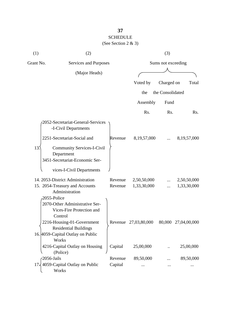| (1)       | (2)                                                                               |         |                      | (3)                |                     |
|-----------|-----------------------------------------------------------------------------------|---------|----------------------|--------------------|---------------------|
| Grant No. | Services and Purposes                                                             |         |                      | Sums not exceeding |                     |
|           | (Major Heads)                                                                     |         |                      |                    |                     |
|           |                                                                                   |         | Voted by             | Charged on         | Total               |
|           |                                                                                   |         | the                  | the Consolidated   |                     |
|           |                                                                                   |         | Assembly             | Fund               |                     |
|           |                                                                                   |         | R <sub>s</sub> .     | Rs.                | R <sub>s</sub> .    |
|           | 2052-Secretariat-General-Services<br>-I-Civil Departments                         |         |                      |                    |                     |
|           | 2251-Secretariat-Social and                                                       | Revenue | 8, 19, 57, 000       |                    | 8,19,57,000         |
| 13.       | <b>Community Services-I-Civil</b><br>Department<br>3451-Secretariat-Economic Ser- |         |                      |                    |                     |
|           | vices-I-Civil Departments                                                         |         |                      |                    |                     |
|           | 14. 2053-District Administration                                                  | Revenue | 2,50,50,000          |                    | 2,50,50,000         |
|           | 15. 2054-Treasury and Accounts<br>Administration<br>2055-Police                   | Revenue | 1,33,30,000          | $\ddotsc$          | 1,33,30,000         |
|           | 2070-Other Administrative Ser-<br>Vices-Fire Protection and<br>Control            |         |                      |                    |                     |
|           | 2216-Housing-01-Government<br><b>Residential Buildings</b>                        |         | Revenue 27,03,80,000 |                    | 80,000 27,04,00,000 |
|           | 16. 4059-Capital Outlay on Public<br>Works                                        |         |                      |                    |                     |
|           | 4216-Capital Outlay on Housing<br>(Police)                                        | Capital | 25,00,000            |                    | 25,00,000           |
|           | 2056-Jails                                                                        | Revenue | 89,50,000            |                    | 89,50,000           |
|           | 17. 4059-Capital Outlay on Public<br>Works                                        | Capital |                      |                    |                     |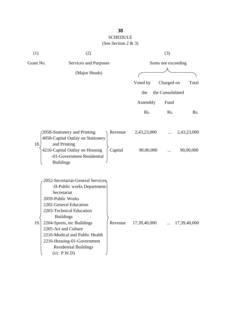| (1)       | (2)                                                                                                                                                                                                                                                                                                                                                   |         |              | (3)                |              |
|-----------|-------------------------------------------------------------------------------------------------------------------------------------------------------------------------------------------------------------------------------------------------------------------------------------------------------------------------------------------------------|---------|--------------|--------------------|--------------|
| Grant No. | Services and Purposes                                                                                                                                                                                                                                                                                                                                 |         |              | Sums not exceeding |              |
|           | (Major Heads)                                                                                                                                                                                                                                                                                                                                         |         |              |                    |              |
|           |                                                                                                                                                                                                                                                                                                                                                       |         | Voted by     | Charged on         | Total        |
|           |                                                                                                                                                                                                                                                                                                                                                       |         | the          | the Consolidated   |              |
|           |                                                                                                                                                                                                                                                                                                                                                       |         | Assembly     | Fund               |              |
|           |                                                                                                                                                                                                                                                                                                                                                       |         | Rs.          | Rs.                | Rs.          |
|           | 2058-Stationery and Printing<br>4058-Capital Outlay on Stationery                                                                                                                                                                                                                                                                                     | Revenue | 2,43,23,000  |                    | 2,43,23,000  |
| 18.       | and Printing<br>4216-Capital Outlay on Housing<br>-01-Government Residential<br><b>Buildings</b>                                                                                                                                                                                                                                                      | Capital | 90,00,000    |                    | 90,00,000    |
| 19.       | 2052-Secretariat-General Services<br>-II-Public works Department-<br>Secretariat<br>2059-Public Works<br>2202-General Education<br>2203-Technical Education<br><b>Buildings</b><br>2204-Sports, etc Buildings<br>2205-Art and Culture<br>2210-Medical and Public Health<br>2216-Housing-01-Government<br><b>Residential Buildings</b><br>(i/c. P.W.D) | Revenue | 17,39,40,000 |                    | 17,39,40,000 |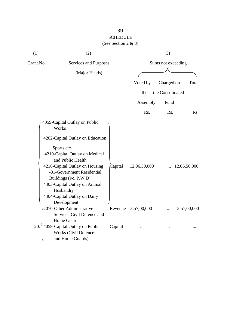| (1)       | (2)                                                                                    |         |              | (3)                |              |
|-----------|----------------------------------------------------------------------------------------|---------|--------------|--------------------|--------------|
| Grant No. | Services and Purposes                                                                  |         |              | Sums not exceeding |              |
|           | (Major Heads)                                                                          |         |              |                    |              |
|           |                                                                                        |         | Voted by     | Charged on         | Total        |
|           |                                                                                        |         | the          | the Consolidated   |              |
|           |                                                                                        |         |              |                    |              |
|           |                                                                                        |         | Assembly     | Fund               |              |
|           |                                                                                        |         | Rs.          | Rs.                | Rs.          |
|           | 4059-Capital Outlay on Public<br>Works                                                 |         |              |                    |              |
|           | 4202-Capital Outlay on Education,                                                      |         |              |                    |              |
|           | Sports etc<br>4210-Capital Outlay on Medical<br>and Public Health                      |         |              |                    |              |
|           | 4216-Capital Outlay on Housing<br>-01-Government Residential<br>Buildings (i/c. P.W.D) | Capital | 12,06,50,000 |                    | 12,06,50,000 |
|           | 4403-Capital Outlay on Animal<br>Husbandry<br>4404-Capital Outlay on Dairy             |         |              |                    |              |
|           | Development                                                                            |         |              |                    |              |
|           | 2070-Other Administrative<br>Services-Civil Defence and<br>Home Guards                 | Revenue | 3,57,00,000  |                    | 3,57,00,000  |
| 20.       | 4059-Capital Outlay on Public<br><b>Works (Civil Defence</b><br>and Home Guards)       | Capital |              |                    |              |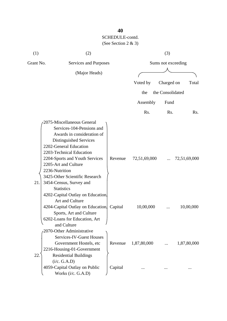| (1)       | (2)                                                                                                                                                                                                                                                                                                                                 |         |              | (3)                |              |
|-----------|-------------------------------------------------------------------------------------------------------------------------------------------------------------------------------------------------------------------------------------------------------------------------------------------------------------------------------------|---------|--------------|--------------------|--------------|
| Grant No. | Services and Purposes                                                                                                                                                                                                                                                                                                               |         |              | Sums not exceeding |              |
|           | (Major Heads)                                                                                                                                                                                                                                                                                                                       |         |              |                    |              |
|           |                                                                                                                                                                                                                                                                                                                                     |         | Voted by     | Charged on         | Total        |
|           |                                                                                                                                                                                                                                                                                                                                     |         | the          | the Consolidated   |              |
|           |                                                                                                                                                                                                                                                                                                                                     |         | Assembly     | Fund               |              |
|           |                                                                                                                                                                                                                                                                                                                                     |         | Rs.          | Rs.                | Rs.          |
| 21.       | 2075-Miscellaneous General<br>Services-104-Pensions and<br>Awards in consideration of<br>Distinguished Services<br>2202-General Education<br>2203-Technical Education<br>2204-Sports and Youth Services<br>2205-Art and Culture<br>2236-Nutrition<br>3425-Other Scientific Research<br>3454-Census, Survey and<br><b>Statistics</b> | Revenue | 72,51,69,000 |                    | 72,51,69,000 |
|           | 4202-Capital Outlay on Education,<br>Art and Culture<br>4204-Capital Outlay on Education.<br>Sports, Art and Culture<br>6202-Loans for Education, Art<br>and Culture                                                                                                                                                                | Capital | 10,00,000    |                    | 10,00,000    |
| 22.       | 2070-Other Administrative<br><b>Services-IV-Guest Houses</b><br>Government Hostels, etc.<br>2216-Housing-01-Government<br><b>Residential Buildings</b><br>(i/c. G.A.D)                                                                                                                                                              | Revenue | 1,87,80,000  |                    | 1,87,80,000  |
|           | 4059-Capital Outlay on Public<br>Works (i/c. G.A.D)                                                                                                                                                                                                                                                                                 | Capital |              |                    |              |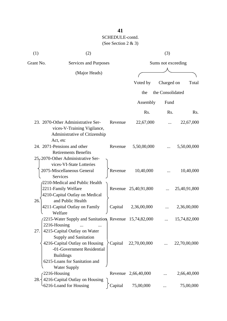| (1)       | (2)                                                                                                                                              |         |                      | (3)                |              |
|-----------|--------------------------------------------------------------------------------------------------------------------------------------------------|---------|----------------------|--------------------|--------------|
| Grant No. | Services and Purposes                                                                                                                            |         |                      | Sums not exceeding |              |
|           | (Major Heads)                                                                                                                                    |         |                      |                    |              |
|           |                                                                                                                                                  |         | Voted by             | Charged on         | Total        |
|           |                                                                                                                                                  |         | the                  | the Consolidated   |              |
|           |                                                                                                                                                  |         | Assembly             | Fund               |              |
|           |                                                                                                                                                  |         | Rs.                  | Rs.                | Rs.          |
|           | 23. 2070-Other Administrative Ser-<br>vices-V-Training Vigilance,<br>Administrative of Citizenship                                               | Revenue | 22,67,000            |                    | 22,67,000    |
|           | Act, etc<br>24. 2071-Pensions and other<br><b>Retirements Benefits</b>                                                                           | Revenue | 5,50,00,000          |                    | 5,50,00,000  |
|           | 25, 2070-Other Administrative Ser-<br>vices-VI-State Lotteries<br>2075-Miscellaneous General<br>Services                                         | Revenue | 10,40,000            |                    | 10,40,000    |
|           | 2210-Medical and Public Health<br>2211-Family Welfare<br>4210-Capital Outlay on Medical                                                          |         | Revenue 25,40,91,800 |                    | 25,40,91,800 |
| 26.       | and Public Health<br>4211-Capital Outlay on Family<br>Welfare                                                                                    | Capital | 2,36,00,000          |                    | 2,36,00,000  |
|           | 2215-Water Supply and Sanitation, Revenue 15,74,82,000<br>2216-Housing                                                                           |         |                      |                    | 15,74,82,000 |
| 27.       | 4215-Capital Outlay on Water<br><b>Supply and Sanitation</b><br>4216-Capital Outlay on Housing<br>-01-Government Residential<br><b>Buildings</b> | Capital | 22,70,00,000         |                    | 22,70,00,000 |
|           | 6215-Loans for Sanitation and<br><b>Water Supply</b>                                                                                             |         |                      |                    |              |
| 28.       | 2216-Housing<br>4216-Capital Outlay on Housing                                                                                                   |         | Revenue 2,66,40,000  |                    | 2,66,40,000  |
|           | -6216-Loand for Housing                                                                                                                          | Capital | 75,00,000            |                    | 75,00,000    |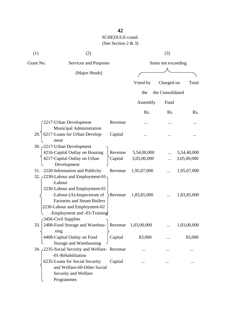| (1)       | (2)                                                                                                                                                                                                                                                                                                                                                                                             |                                          |                                                          | (3)                |                                                          |
|-----------|-------------------------------------------------------------------------------------------------------------------------------------------------------------------------------------------------------------------------------------------------------------------------------------------------------------------------------------------------------------------------------------------------|------------------------------------------|----------------------------------------------------------|--------------------|----------------------------------------------------------|
| Grant No. | Services and Purposes                                                                                                                                                                                                                                                                                                                                                                           |                                          |                                                          | Sums not exceeding |                                                          |
|           | (Major Heads)                                                                                                                                                                                                                                                                                                                                                                                   |                                          |                                                          |                    |                                                          |
|           |                                                                                                                                                                                                                                                                                                                                                                                                 |                                          | Voted by                                                 | Charged on         | Total                                                    |
|           |                                                                                                                                                                                                                                                                                                                                                                                                 |                                          | the                                                      | the Consolidated   |                                                          |
|           |                                                                                                                                                                                                                                                                                                                                                                                                 |                                          | Assembly                                                 | Fund               |                                                          |
|           |                                                                                                                                                                                                                                                                                                                                                                                                 |                                          | Rs.                                                      | Rs.                | Rs.                                                      |
|           | 2217-Urban Development<br>Municipal Administration                                                                                                                                                                                                                                                                                                                                              | Revenue                                  |                                                          |                    |                                                          |
| 29.       | 6217-Loans for Urban Develop-<br>ment                                                                                                                                                                                                                                                                                                                                                           | Capital                                  |                                                          |                    |                                                          |
|           | 30. 2217-Urban Development<br>4216-Capital Outlay on Housing<br>4217-Capital Outlay on Urban<br>Development<br>31. 2220-Information and Publicity<br>32. 2230-Labour and Employment-01<br>-Labour<br>2230-Labour and Employment-01<br>-Labour-(A)-Inspectorate of<br><b>Factories and Steam Boilers</b><br>2230-Labour and Employment-02<br>-Employment and -03-Training<br>3456-Civil Supplies | Revenue<br>Capital<br>Revenue<br>Revenue | 5,54,00,000<br>3,05,00,000<br>1,95,07,000<br>1,83,85,000 |                    | 5,54,40,000<br>3,05,00,000<br>1,95,07,000<br>1,83,85,000 |
| 33.       | 2408-Food Storage and Warehou-<br>sing                                                                                                                                                                                                                                                                                                                                                          | Revenue                                  | 1,03,00,000                                              |                    | 1,03,00,000                                              |
|           | 4408-Capital Outlay on Food<br>Storage and Warehousing                                                                                                                                                                                                                                                                                                                                          | Capital                                  | 83,000                                                   |                    | 83,000                                                   |
|           | 34. 2235-Social Security and Welfare-Revenue<br>-01-Rehabilitation                                                                                                                                                                                                                                                                                                                              |                                          |                                                          |                    |                                                          |
|           | 6235-Loans for Social Security<br>and Welfare-60-Other Social<br>Security and Welfare<br>Programmes                                                                                                                                                                                                                                                                                             | Capital                                  |                                                          |                    |                                                          |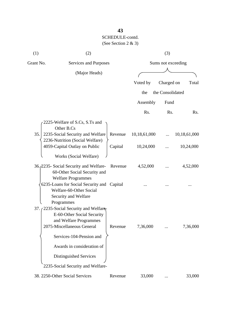| (1)       | (2)                                                                                                                                        |         |              | (3)                |              |
|-----------|--------------------------------------------------------------------------------------------------------------------------------------------|---------|--------------|--------------------|--------------|
| Grant No. | Services and Purposes                                                                                                                      |         |              | Sums not exceeding |              |
|           | (Major Heads)                                                                                                                              |         |              |                    |              |
|           |                                                                                                                                            |         | Voted by     | Charged on         | Total        |
|           |                                                                                                                                            |         | the          | the Consolidated   |              |
|           |                                                                                                                                            |         | Assembly     | Fund               |              |
|           |                                                                                                                                            |         | Rs.          | Rs.                | Rs.          |
|           | 2225-Welfare of S.Cs, S.Ts and<br>Other B.Cs                                                                                               |         |              |                    |              |
| 35.       | 2235-Social Security and Welfare                                                                                                           | Revenue | 10,18,61,000 |                    | 10,18,61,000 |
|           | 2236-Nutrition (Social Welfare)<br>4059-Capital Outlay on Public                                                                           | Capital | 10,24,000    |                    | 10,24,000    |
|           | Works (Social Welfare)                                                                                                                     |         |              |                    |              |
|           | 36. 2235 - Social Security and Welfare-<br>60-Other Social Security and                                                                    | Revenue | 4,52,000     |                    | 4,52,000     |
|           | <b>Welfare Programmes</b><br>6235-Loans for Social Security and Capital<br>Welfare-60-Other Social<br>Security and Welfare                 |         |              |                    |              |
|           | Programmes<br>37. (2235-Social Security and Welfare-<br>E-60-Other Social Security<br>and Welfare Programmes<br>2075-Miscellaneous General | Revenue | 7,36,000     |                    | 7,36,000     |
|           | Services-104-Pension and<br>Awards in consideration of<br>Distinguished Services<br>2235-Social Security and Welfare-                      |         |              |                    |              |
|           | 38. 2250-Other Social Services                                                                                                             | Revenue | 33,000       |                    | 33,000       |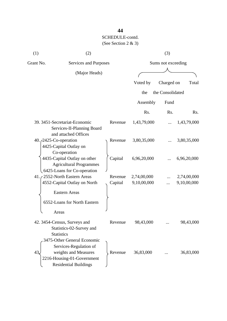| (1)                             | (2)                                                                                                                                         |         |                  | (3)                |             |
|---------------------------------|---------------------------------------------------------------------------------------------------------------------------------------------|---------|------------------|--------------------|-------------|
| Grant No.                       | Services and Purposes                                                                                                                       |         |                  | Sums not exceeding |             |
|                                 | (Major Heads)                                                                                                                               |         |                  |                    |             |
|                                 |                                                                                                                                             |         | Voted by         | Charged on         | Total       |
|                                 |                                                                                                                                             |         | the              | the Consolidated   |             |
|                                 |                                                                                                                                             |         | Assembly         | Fund               |             |
|                                 |                                                                                                                                             |         | R <sub>s</sub> . | Rs.                | Rs.         |
|                                 | 39. 3451-Secretariat-Economic<br>Services-II-Planning Board<br>and attached Offices                                                         | Revenue | 1,43,79,000      |                    | 1,43,79,000 |
| 40. <i>(2425-Co-operation</i> ) | 4425-Capital Outlay on<br>Co-operation                                                                                                      | Revenue | 3,80,35,000      |                    | 3,80,35,000 |
|                                 | 4435-Capital Outlay on other<br><b>Agricultural Programmes</b><br>6425-Loans for Co-operation                                               | Capital | 6,96,20,000      |                    | 6,96,20,000 |
|                                 | 41. 2552-North Eastern Areas                                                                                                                | Revenue | 2,74,00,000      |                    | 2,74,00,000 |
|                                 | 4552-Capital Outlay on North<br><b>Eastern Areas</b><br>6552-Loans for North Eastern<br>Areas                                               | Capital | 9,10,00,000      |                    | 9,10,00,000 |
|                                 | 42. 3454-Census, Surveys and<br>Statistics-02-Survey and<br><b>Statistics</b>                                                               | Revenue | 98,43,000        |                    | 98,43,000   |
| 43.                             | 3475-Other General Economic<br>Services-Regulation of<br>weights and Measures<br>2216-Housing-01-Government<br><b>Residential Buildings</b> | Revenue | 36,83,000        |                    | 36,83,000   |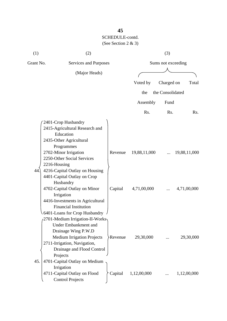| (1)       | (2)                                                                                                                                                                                                                                                  |          |                  | (3)                |              |
|-----------|------------------------------------------------------------------------------------------------------------------------------------------------------------------------------------------------------------------------------------------------------|----------|------------------|--------------------|--------------|
| Grant No. | Services and Purposes                                                                                                                                                                                                                                |          |                  | Sums not exceeding |              |
|           | (Major Heads)                                                                                                                                                                                                                                        |          |                  |                    |              |
|           |                                                                                                                                                                                                                                                      |          | Voted by         | Charged on         | Total        |
|           |                                                                                                                                                                                                                                                      |          |                  |                    |              |
|           |                                                                                                                                                                                                                                                      |          | the              | the Consolidated   |              |
|           |                                                                                                                                                                                                                                                      |          | Assembly         | Fund               |              |
|           |                                                                                                                                                                                                                                                      |          | R <sub>s</sub> . | Rs.                | Rs.          |
| 44        | 2401-Crop Husbandry<br>2415-Agricultural Research and<br>Education<br>2435-Other Agricultural<br>Programmes<br>2702-Minor Irrigation<br>2250-Other Social Services<br>2216-Housing<br>4216-Capital Outlay on Housing                                 | Revenue  | 19,88,11,000     |                    | 19,88,11,000 |
|           | 4401-Capital Outlay on Crop<br>Husbandry<br>4702-Capital Outlay on Minor<br>Irrigation<br>4416-Investments in Agricultural<br><b>Financial Institution</b><br>6401-Loans for Crop Husbandry                                                          | Capital  | 4,71,00,000      |                    | 4,71,00,000  |
| 45.       | (2701-Medium Irrigation-II-Works<br><b>Under Embankment and</b><br>Drainage Wing P.W.D<br><b>Medium Irrigation Projects</b><br>2711-Irrigation, Navigation,<br>Drainage and Flood Control<br>Projects<br>4701-Capital Outlay on Medium<br>Irrigation | >Revenue | 29,30,000        |                    | 29,30,000    |
|           | 4711-Capital Outlay on Flood<br><b>Control Projects</b>                                                                                                                                                                                              | Capital  | 1,12,00,000      |                    | 1,12,00,000  |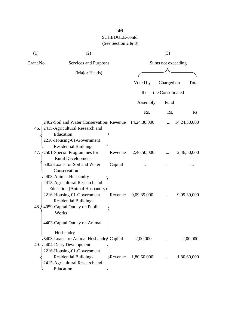| (1)       | (2)                                                                                                                                                                                                        |              | (3)                |              |
|-----------|------------------------------------------------------------------------------------------------------------------------------------------------------------------------------------------------------------|--------------|--------------------|--------------|
| Grant No. | Services and Purposes                                                                                                                                                                                      |              | Sums not exceeding |              |
|           | (Major Heads)                                                                                                                                                                                              |              |                    |              |
|           |                                                                                                                                                                                                            | Voted by     | Charged on         | Total        |
|           |                                                                                                                                                                                                            | the          | the Consolidated   |              |
|           |                                                                                                                                                                                                            | Assembly     | Fund               |              |
|           |                                                                                                                                                                                                            | Rs.          | Rs.                | Rs.          |
|           | 2402-Soil and Water Conservation, Revenue<br>46. 2415-Agricultural Research and<br>Education<br>2216-Housing-01-Government<br><b>Residential Buildings</b>                                                 | 14,24,30,000 |                    | 14,24,30,000 |
|           | 47. 2501-Special Programmes for<br>Revenue                                                                                                                                                                 | 2,46,50,000  |                    | 2,46,50,000  |
|           | <b>Rural Development</b><br>6402-Loans for Soil and Water<br>Capital<br>Conservation                                                                                                                       |              |                    |              |
| 48.       | 2403-Animal Husbandry<br>2415-Agricultural Research and<br>Education (Animal Husbandry)<br>2216-Housing-01-Government<br>Revenue<br><b>Residential Buildings</b><br>4059-Capital Outlay on Public<br>Works | 9,09,39,000  |                    | 9,09,39,000  |
|           | 4403-Capital Outlay on Animal                                                                                                                                                                              |              |                    |              |
|           | Husbandry<br>6403-Loans for Animal Husbandry Capital<br>49. 2404-Dairy Development                                                                                                                         | 2,00,000     |                    | 2,00,000     |
|           | 2216-Housing-01-Government<br><b>Residential Buildings</b><br>Revenue<br>2415-Agricultural Research and<br>Education                                                                                       | 1,80,60,000  |                    | 1,80,60,000  |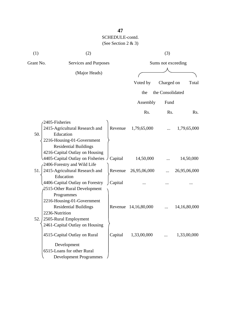| (1)       | (2)                                                                                                                                     |         |                      | (3)                |                 |
|-----------|-----------------------------------------------------------------------------------------------------------------------------------------|---------|----------------------|--------------------|-----------------|
| Grant No. | Services and Purposes                                                                                                                   |         |                      | Sums not exceeding |                 |
|           | (Major Heads)                                                                                                                           |         |                      |                    |                 |
|           |                                                                                                                                         |         | Voted by             | Charged on         | Total           |
|           |                                                                                                                                         |         | the                  | the Consolidated   |                 |
|           |                                                                                                                                         |         | Assembly             | Fund               |                 |
|           |                                                                                                                                         |         | Rs.                  | Rs.                | Rs.             |
|           | 2405-Fisheries                                                                                                                          |         |                      |                    |                 |
| 50.       | 2415-Agricultural Research and<br>Education<br>2216-Housing-01-Government<br><b>Residential Buildings</b>                               | Revenue | 1,79,65,000          |                    | 1,79,65,000     |
|           | 4216-Capital Outlay on Housing<br>4405-Capital Outlay on Fisheries $\int$ Capital                                                       |         | 14,50,000            |                    | 14,50,000       |
|           | -2406-Forestry and Wild Life                                                                                                            |         |                      |                    |                 |
| 51.       | 2415-Agricultural Research and                                                                                                          | Revenue | 26,95,06,000         |                    | 26,95,06,000    |
|           | Education<br>4406-Capital Outlay on Forestry<br>2515-Other Rural Development<br>Programmes                                              | Capital |                      |                    |                 |
| 52.       | 2216-Housing-01-Government<br><b>Residential Buildings</b><br>2236-Nutrition<br>2505-Rural Employment<br>2461-Capital Outlay on Housing |         | Revenue 14,16,80,000 |                    | 14, 16, 80, 000 |
|           | 4515-Capital Outlay on Rural<br>Development<br>6515-Loans for other Rural                                                               | Capital | 1,33,00,000          |                    | 1,33,00,000     |
|           | <b>Development Programmes</b>                                                                                                           |         |                      |                    |                 |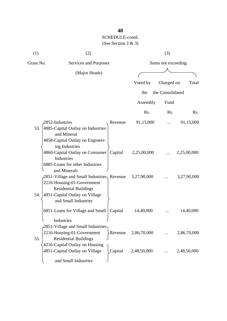| (1)       | (2)                                                                                                                                                                   |             | (3)                |             |
|-----------|-----------------------------------------------------------------------------------------------------------------------------------------------------------------------|-------------|--------------------|-------------|
| Grant No. | Services and Purposes                                                                                                                                                 |             | Sums not exceeding |             |
|           | (Major Heads)                                                                                                                                                         |             |                    |             |
|           |                                                                                                                                                                       | Voted by    | Charged on         | Total       |
|           |                                                                                                                                                                       | the         | the Consolidated   |             |
|           |                                                                                                                                                                       | Assembly    | Fund               |             |
|           |                                                                                                                                                                       | Rs.         | R <sub>s</sub> .   | Rs.         |
| 53.       | 2852-Industries<br>Revenue<br>4885-Capital Outlay on Industries<br>and Mineral<br>4858-Capital Outlay on Engineer-<br>ing Industries                                  | 91,15,000   |                    | 91,15,000   |
|           | 4860-Capital Outlay on Consumer  <br>Capital<br>Industries<br>6885-Loans for other Industries<br>and Minerals                                                         | 2,25,00,000 |                    | 2,25,00,000 |
| 54.       | $2851$ -Village and Small Industries, Revenue<br>2216-Housing-01-Government<br><b>Residential Buildings</b><br>4851-Capital Outlay on Village<br>and Small Industries | 3,27,90,000 |                    | 3,27,90,000 |
|           | 6851-Loans for Village and Small<br>Capital<br>Industries                                                                                                             | 14,40,000   |                    | 14,40,000   |
| 55.       | $\beta$ 2851-Village and Small Industries<br>2216-Housing-01-Government<br>>Revenue<br><b>Residential Buildings</b>                                                   | 2,86,70,000 |                    | 2,86,70,000 |
|           | 4216-Capital Outlay on Housing<br>4851-Capital Outlay on Village<br>Capital<br>and Small Industries                                                                   | 2,48,50,000 |                    | 2,48,50,000 |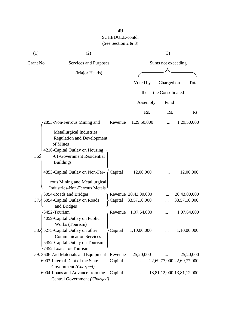| (1)       | (2)                                                                                                                                                                  |         |                      | (3)                |                           |
|-----------|----------------------------------------------------------------------------------------------------------------------------------------------------------------------|---------|----------------------|--------------------|---------------------------|
| Grant No. | Services and Purposes                                                                                                                                                |         |                      | Sums not exceeding |                           |
|           | (Major Heads)                                                                                                                                                        |         |                      |                    |                           |
|           |                                                                                                                                                                      |         | Voted by             | Charged on         | Total                     |
|           |                                                                                                                                                                      |         | the                  | the Consolidated   |                           |
|           |                                                                                                                                                                      |         | Assembly             | Fund               |                           |
|           |                                                                                                                                                                      |         | Rs.                  | Rs.                | Rs.                       |
|           | 2853-Non-Ferrous Mining and                                                                                                                                          | Revenue | 1,29,50,000          |                    | 1,29,50,000               |
| 56:       | <b>Metallurgical Industries</b><br><b>Regulation and Development</b><br>of Mines<br>4216-Capital Outlay on Housing<br>-01-Government Residential<br><b>Buildings</b> |         |                      |                    |                           |
|           | 4853-Capital Outlay on Non-Fer-<br>rous Mining and Metallurgical<br>Industries-Non-Ferrous Metals                                                                    | Capital | 12,00,000            |                    | 12,00,000                 |
|           | 3054-Roads and Bridges                                                                                                                                               |         | Revenue 20,43,00,000 |                    | 20,43,00,000              |
| 57.3      | 5054-Capital Outlay on Roads<br>and Bridges                                                                                                                          | Capital | 33,57,10,000         |                    | 33,57,10,000              |
|           | 3452-Tourism<br>4059-Capital Outlay on Public<br>Works (Tourism)                                                                                                     | Revenue | 1,07,64,000          |                    | 1,07,64,000               |
|           | 58. 5275 Capital Outlay on other<br><b>Communication Services</b><br>5452-Capital Outlay on Tourism<br>7452-Loans for Tourism                                        | Capital | 1,10,00,000          |                    | 1,10,00,000               |
|           | 59. 3606-Aid Materials and Equipment                                                                                                                                 | Revenue | 25,20,000            |                    | 25,20,000                 |
|           | 6003-Internal Debt of the State<br>Government (Charged)                                                                                                              | Capital |                      |                    | 22,69,77,000 22,69,77,000 |
|           | 6004-Loans and Advance from the<br>Central Government (Charged)                                                                                                      | Capital |                      |                    | 13,81,12,000 13,81,12,000 |

**49**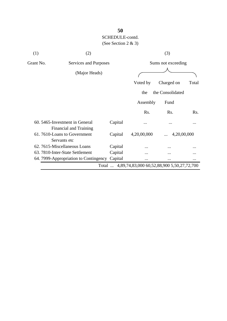| (1)       | (2)                                                      |         |             | (3)                                               |       |
|-----------|----------------------------------------------------------|---------|-------------|---------------------------------------------------|-------|
| Grant No. | Services and Purposes                                    |         |             | Sums not exceeding                                |       |
|           | (Major Heads)                                            |         |             |                                                   |       |
|           |                                                          |         | Voted by    | Charged on                                        | Total |
|           |                                                          |         | the         | the Consolidated                                  |       |
|           |                                                          |         | Assembly    | Fund                                              |       |
|           |                                                          |         | Rs.         | Rs.                                               | Rs.   |
|           | 60. 5465-Investment in General<br>Financial and Training | Capital |             |                                                   |       |
|           | 61.7610-Loans to Government<br>Servants etc              | Capital | 4,20,00,000 | 4,20,00,000                                       |       |
|           | 62. 7615-Miscellaneous Loans                             | Capital |             |                                                   |       |
|           | 63. 7810-Inter-State Settlement                          | Capital |             |                                                   |       |
|           | 64. 7999-Appropriation to Contingency                    | Capital | $\ddotsc$   | $\cdots$                                          |       |
|           |                                                          |         |             | Total  4,89,74,83,000 60,52,88,900 5,50,27,72,700 |       |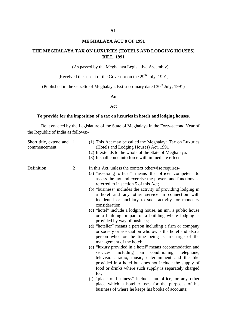#### **MEGHALAYA ACT 8 OF 1991**

### **THE MEGHALAYA TAX ON LUXURIES (HOTELS AND LODGING HOUSES) BILL, 1991**

(As passed by the Meghalaya Legislative Assembly)

[Received the assent of the Governor on the  $29<sup>th</sup>$  July, 1991]

(Published in the Gazette of Meghalaya, Extra-ordinary dated  $30<sup>th</sup>$  July, 1991)

An

#### Act

### **To provide for the imposition of a tax on luxuries in hotels and lodging houses.**

Be it enacted by the Legislature of the State of Meghalaya in the Forty-second Year of the Republic of India as follows:-

| Short title, extend and 1<br>commencement |                | (1) This Act may be called the Meghalaya Tax on Luxuries<br>(Hotels and Lodging Houses) Act, 1991<br>(2) It extends to the whole of the State of Meghalaya.<br>(3) It shall come into force with immediate effect.                                                                                                                                                                                                                                                                                                                                                                                                                                                                              |
|-------------------------------------------|----------------|-------------------------------------------------------------------------------------------------------------------------------------------------------------------------------------------------------------------------------------------------------------------------------------------------------------------------------------------------------------------------------------------------------------------------------------------------------------------------------------------------------------------------------------------------------------------------------------------------------------------------------------------------------------------------------------------------|
| Definition                                | $\overline{2}$ | In this Act, unless the context otherwise requires-<br>(a) "assessing officer" means the officer competent to<br>assess the tax and exercise the powers and functions as<br>referred to in section 5 of this Act;<br>(b) "business" includes the activity of providing lodging in<br>a hotel and any other service in connection with<br>incidental or ancillary to such activity for monetary<br>consideration;<br>(c) "hotel" include a lodging house, an inn, a public house<br>or a building or part of a building where lodging is<br>provided by way of business;<br>(d) "hotelier" means a person including a firm or company<br>or society or association who owns the hotel and also a |
|                                           |                | person who for the time being is in-charge of the<br>management of the hotel;                                                                                                                                                                                                                                                                                                                                                                                                                                                                                                                                                                                                                   |
|                                           |                | (e) "luxury provided in a hotel" means accommodation and<br>including air conditioning,<br>services<br>telephone,<br>television, radio, music, entertainment and the like<br>provided in a hotel but does not include the supply of<br>food or drinks where such supply is separately charged<br>for:                                                                                                                                                                                                                                                                                                                                                                                           |
|                                           |                | (f) "place of business" includes an office, or any other<br>place which a hotelier uses for the purposes of his<br>business of where he keeps his books of accounts;                                                                                                                                                                                                                                                                                                                                                                                                                                                                                                                            |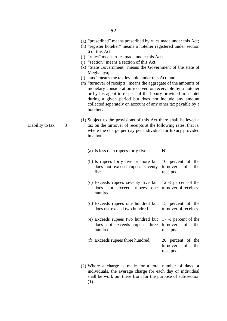- (g) "prescribed" means prescribed by rules made under this Act;
- (h) "register hotelier" means a hotelier registered under section 6 of this Act;
- (i) "rules" means rules made under this Act;
- (j) "section" means a section of this Act;
- (k) "State Government" means the Government of the state of Meghalaya;
- (l) "tax" means the tax leviable under this Act; and
- (m)"turnover of receipts" means the aggregate of the amounts of monetary consideration received or receivable by a hotelier or by his agent in respect of the luxury provided in a hotel during a given period but does not include any amount collected separately on account of any other tax payable by a hotelier;
- (1) Subject to the provisions of this Act there shall believed a tax on the turnover of receipts at the following rates, that is, where the charge per day per individual for luxury provided in a hotel-
	- (a) Is less than rupees forty five Nil
	- (b) Is rupees forty five or more but does not exceed rupees seventy five 10 percent of the turnover of the receipts.
	- (c) Exceeds rupees seventy five but does not exceed rupees one hundred 12 ½ percent of the turnover of receipts
	- (d) Exceeds rupees one hundred but does not exceed two hundred. 15 percent of the turnover of receipts
	- (e) Exceeds rupees two hundred but does not exceeds rupees three hundred. 17 ½ percent of the turnover of the receipts.
	- (f) Exceeds rupees three hundred. 20 percent of the turnover of the receipts.
- (2) Where a charge is made for a total number of days or individuals, the average charge for each day or individual shall be work out there from for the purpose of sub-section (1)

Liability to tax 3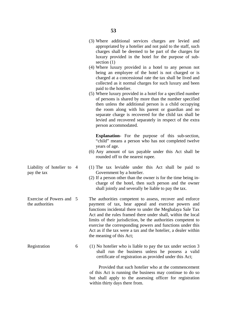- (3) Where additional services charges are levied and appropriated by a hotelier and not paid to the staff, such charges shall be deemed to be part of the charges for luxury provided in the hotel for the purpose of subsection (1)
- (4) Where luxury provided in a hotel to any person not being an employee of the hotel is not charged or is charged at a concessional rate the tax shall be lived and collected as it normal charges for such luxury and been paid to the hotelier.
- (5) Where luxury provided in a hotel for a specified number of persons is shared by more than the number specified then unless the additional person is a child occupying the room along with his parent or guardian and no separate charge is recovered for the child tax shall be levied and recovered separately in respect of the extra person accommodated.

**Explanation-** For the purpose of this sub-section, "child" means a person who has not completed twelve years of age.

- (6) Any amount of tax payable under this Act shall be rounded off to the nearest rupee.
- (1) The tax leviable under this Act shall be paid to Government by a hotelier.
- (2) If a person other than the owner is for the time being incharge of the hotel, then such person and the owner shall jointly and severally be liable to pay the tax.

The authorities competent to assess, recover and enforce payment of tax, hear appeal and exercise powers and functions incidental there to under the Meghalaya Sale Tax Act and the rules framed there under shall, within the local limits of their jurisdiction, be the authorities competent to exercise the corresponding powers and functions under this Act as if the tax were a tax and the hotelier, a dealer within the meaning of this Act;

(1) No hotelier who is liable to pay the tax under section 3 shall run the business unless he possess a valid certificate of registration as provided under this Act;

 Provided that such hotelier who at the commencement of this Act is running the business may continue to do so but shall apply to the assessing officer for registration within thirty days there from.

- Liability of hotelier to 4 pay the tax
- Exercise of Powers and 5 the authorities

6

Registration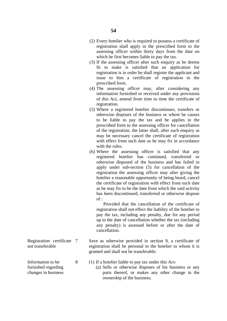- (2) Every hotelier who is required to possess a certificate of registration shall apply in the prescribed form to the assessing officer within thirty days from the date on which he first becomes liable to pay the tax.
- (3) If the assessing officer after such enquiry as he deems fit to make is satisfied that an application for registration is in order he shall register the applicant and issue to him a certificate of registration in the prescribed form.
- (4) The assessing officer may, after considering any information furnished or received under any provisions of this Act, amend from time to time the certificate of registration.
- (5) Where a registered hotelier discontinues, transfers or otherwise disposes of the business or where he causes to be liable to pay the tax and be applies in the prescribed form to the assessing officer for cancellation of the registration, the latter shall, after such enquiry as may be necessary cancel the certificate of registration with effect from such date as he may fix in accordance with the rules.
- (6) Where the assessing officer is satisfied that any registered hotelier has continued, transferred or otherwise disposed of the business and has failed to apply under sub-section (5) for cancellation of the registration the assessing officer may after giving the hotelier a reasonable opportunity of being heard, cancel the certificate of registration with effect from such date as he may fix to be the date from which the said activity has been discontinued, transferred or otherwise dispose  $of :$

 Provided that the cancellation of the certificate of registration shall not effect the liability of the hotelier to pay the tax, including any penalty, due for any period up to the date of cancellation whether the tax (including any penalty) is assessed before or after the date of cancellation.

Save as otherwise provided in section 9, a certificate of registration shall be personal to the hotelier to whom it is granted and shall not be transferable.

- (1) If a hotelier liable to pay tax under this Act-
	- (a) Sells or otherwise disposes of his business or any parts thereof, or makes any other change in the ownership of the business;

Registration certificate 7 not transferable

8

Information to be furnished regarding changes in business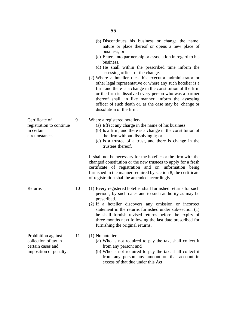|                                                                                            |    | nature or place thereof or opens a new place of<br>business; or<br>(c) Enters into partnership or association in regard to his<br>business.<br>(d) He shall within the prescribed time inform the<br>assessing officer of the change.<br>(2) Where a hotelier dies, his executor, administrator or<br>other legal representative or where any such hotelier is a<br>firm and there is a change in the constitution of the firm<br>or the firm is dissolved every person who was a partner<br>thereof shall, in like manner, inform the assessing<br>officer of such death or, as the case may be, change or<br>dissolution of the firm. |
|--------------------------------------------------------------------------------------------|----|-----------------------------------------------------------------------------------------------------------------------------------------------------------------------------------------------------------------------------------------------------------------------------------------------------------------------------------------------------------------------------------------------------------------------------------------------------------------------------------------------------------------------------------------------------------------------------------------------------------------------------------------|
| Certificate of<br>registration to continue<br>in certain<br>circumstances.                 | 9  | Where a registered hotelier-<br>(a) Effect any charge in the name of his business;<br>(b) Is a firm, and there is a change in the constitution of<br>the firm without dissolving it; or<br>(c) Is a trustee of a trust, and there is change in the<br>trustees thereof.                                                                                                                                                                                                                                                                                                                                                                 |
|                                                                                            |    | It shall not be necessary for the hotelier or the firm with the<br>changed constitution or the new trustees to apply for a fresh<br>certificate of registration and on information being<br>furnished in the manner required by section 8, the certificate<br>of registration shall be amended accordingly.                                                                                                                                                                                                                                                                                                                             |
| Returns                                                                                    | 10 | (1) Every registered hotelier shall furnished returns for such<br>periods, by such dates and to such authority as may be<br>prescribed.<br>(2) If a hotelier discovers any omission or incorrect<br>statement in the returns furnished under sub-section (1)<br>he shall furnish revised returns before the expiry of<br>three months next following the last date prescribed for<br>furnishing the original returns.                                                                                                                                                                                                                   |
| Prohibition against<br>collection of tax in<br>certain cases and<br>imposition of penalty. | 11 | (1) No hotelier-<br>(a) Who is not required to pay the tax, shall collect it<br>from any person; and<br>(b) Who is not required to pay the tax, shall collect it<br>from any person any amount on that account in                                                                                                                                                                                                                                                                                                                                                                                                                       |

excess of that due under this Act.

(b) Discontinues his business or change the name,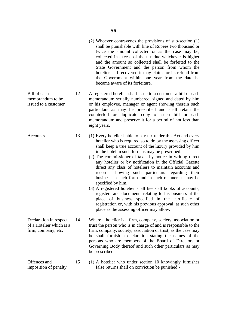- (2) Whoever contravenes the provisions of sub-section (1) shall be punishable with fine of Rupees two thousand or twice the amount collected or as the case may be, collected in excess of the tax due whichever is higher and the amount so collected shall be forfeited to the State Government and the person from whom the hotelier had recovered it may claim for its refund from the Government within one year from the date he became aware of its forfeiture.
- Bill of each memorandum to be issued to a customer 12 A registered hotelier shall issue to a customer a bill or cash memorandum serially numbered, signed and dated by him or his employee, manager or agent showing therein such particulars as may be prescribed and shall retain the counterfoil or duplicate copy of such bill or cash memorandum and preserve it for a period of not less than eight years.

**Accounts** 

- 13 (1) Every hotelier liable to pay tax under this Act and every hotelier who is required so to do by the assessing officer shall keep a true account of the luxury provided by him in the hotel in such form as may be prescribed.
	- (2) The commissioner of taxes by notice in writing direct any hotelier or by notification in the Official Gazette direct any class of hoteliers to maintain accounts and records showing such particulars regarding their business in such form and in such manner as may be specified by him.
	- (3) A registered hotelier shall keep all books of accounts, registers and documents relating to his business at the place of business specified in the certificate of registration or, with his previous approval, at such other place as the assessing officer may allow.
- Declaration in respect of a Hotelier which is a firm, company, etc. 14 Where a hotelier is a firm, company, society, association or trust the person who is in charge of and is responsible to the firm, company, society, association or trust, as the case may be shall furnish a declaration stating the names of the persons who are members of the Board of Directors or Governing Body thereof and such other particulars as may be prescribed.
- Offences and imposition of penalty 15 (1) A hotelier who under section 10 knowingly furnishes false returns shall on conviction be punished:-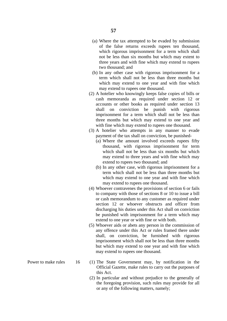- (a) Where the tax attempted to be evaded by submission of the false returns exceeds rupees ten thousand, which rigorous imprisonment for a term which shall not be less than six months but which may extent to three years and with fine which may extend to rupees two thousand; and
- (b) In any other case with rigorous imprisonment for a term which shall not be less than three months but which may extend to one year and with fine which may extend to rupees one thousand.
- (2) A hotelier who knowingly keeps false copies of bills or cash memoranda as required under section 12 or accounts or other books as required under section 13 shall on conviction be punish with rigorous imprisonment for a term which shall not be less than three months but which may extend to one year and with fine which may extend to rupees one thousand.
- (3) A hotelier who attempts in any manner to evade payment of the tax shall on conviction, be punished-
	- (a) Where the amount involved exceeds rupees fifty thousand, with rigorous imprisonment for term which shall not be less than six months but which may extend to three years and with fine which may extend to rupees two thousand; and
	- (b) In any other case, with rigorous imprisonment for a term which shall not be less than three months but which may extend to one year and with fine which may extend to rupees one thousand.
- (4) Whoever contravenes the provisions of section 6 or fails to company with those of sections 8 or 10 to issue a bill or cash memorandum to any customer as required under section 12 or whoever obstructs and officer from discharging his duties under this Act shall on conviction be punished with imprisonment for a term which may extend to one year or with fine or with both.
- (5) Whoever aids or abets any person in the commission of any offence under this Act or rules framed there under shall, on conviction, be furnished with rigorous imprisonment which shall not be less than three months but which may extend to one year and with fine which may extend to rupees one thousand.
- (1) The State Government may, by notification in the Official Gazette, make rules to carry out the purposes of this Act.
	- (2) In particular and without prejudice to the generally of the foregoing provision, such rules may provide for all or any of the following matters, namely;

Power to make rules 16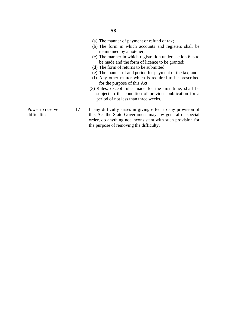- (a) The manner of payment or refund of tax;
- (b) The form in which accounts and registers shall be maintained by a hotelier;
- (c) The manner in which registration under section 6 is to be made and the form of licence to be granted;
- (d) The form of returns to be submitted;
- (e) The manner of and period for payment of the tax; and
- (f) Any other matter which is required to be prescribed for the purpose of this Act.
- (3) Rules, except rules made for the first time, shall be subject to the condition of previous publication for a period of not less than three weeks.

If any difficulty arises in giving effect to any provision of this Act the State Government may, by general or special order, do anything not inconsistent with such provision for the purpose of removing the difficulty.

Power to reserve difficulties

17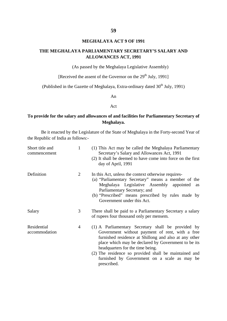#### **MEGHALAYA ACT 9 OF 1991**

#### **THE MEGHALAYA PARLIAMENTARY SECRETARY'S SALARY AND ALLOWANCES ACT, 1991**

(As passed by the Meghalaya Legislative Assembly)

[Received the assent of the Governor on the  $29<sup>th</sup>$  July, 1991]

(Published in the Gazette of Meghalaya, Extra-ordinary dated  $30<sup>th</sup>$  July, 1991)

An

#### Act

### **To provide for the salary and allowances of and facilities for Parliamentary Secretary of Meghalaya.**

Be it enacted by the Legislature of the State of Meghalaya in the Forty-second Year of the Republic of India as follows:-

| Short title and<br>commencement | 1 | (1) This Act may be called the Meghalaya Parliamentary<br>Secretary's Salary and Allowances Act, 1991<br>(2) It shall be deemed to have come into force on the first<br>day of April, 1991                                                                                                                                                                                        |
|---------------------------------|---|-----------------------------------------------------------------------------------------------------------------------------------------------------------------------------------------------------------------------------------------------------------------------------------------------------------------------------------------------------------------------------------|
| Definition                      | 2 | In this Act, unless the context otherwise requires-<br>(a) "Parliamentary Secretary" means a member of the<br>Meghalaya Legislative Assembly appointed<br>as<br>Parliamentary Secretary; and<br>(b) "Prescribed" means prescribed by rules made by<br>Government under this Act.                                                                                                  |
| Salary                          | 3 | There shall be paid to a Parliamentary Secretary a salary<br>of rupees four thousand only per mensem.                                                                                                                                                                                                                                                                             |
| Residential<br>accommodation    | 4 | (1) A Parliamentary Secretary shall be provided by<br>Government without payment of rent, with a free<br>furnished residence at Shillong and also at any other<br>place which may be declared by Government to be its<br>headquarters for the time being.<br>(2) The residence so provided shall be maintained and<br>furnished by Government on a scale as may be<br>prescribed. |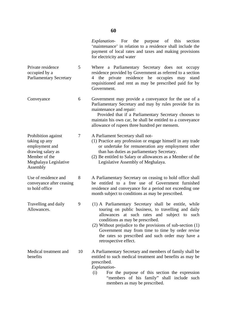- Private residence occupied by a Parliamentary Secretary 5 Where a Parliamentary Secretary does not occupy residence provided by Government as referred to a section 4 the private residence he occupies may stand requisitioned and rent as may be prescribed paid for by Government.
- Conveyance 6 Government may provide a conveyance for the use of a Parliamentary Secretary and may by rules provide for its maintenance and repair:

 Provided that if a Parliamentary Secretary chooses to maintain his own car, he shall be entitled to a conveyance allowance of rupees three hundred per mensem.

7 A Parliament Secretary shall not-

Prohibition against taking up any employment and drawing salary as Member of the

Meghalaya Legislative

Use of residence and conveyance after ceasing

Travelling and daily

Medical treatment and

Assembly

to hold office

Allowances.

benefits

- (1) Practice any profession or engage himself in any trade or undertake for remuneration any employment other than has duties as parliamentary Secretary.
- (2) Be entitled to Salary or allowances as a Member of the Legislative Assembly of Meghalaya.

8 A Parliamentary Secretary on ceasing to hold office shall be entitled to a free use of Government furnished residence and conveyance for a period not exceeding one month subject to conditions as may be prescribed.

- 9 (1) A Parliamentary Secretary shall be entitle, while touring on public business, to travelling and daily allowances at such rates and subject to such conditions as may be prescribed.
	- (2) Without prejudice to the provisions of sub-section (1) Government may from time to time by order revise the rates so prescribed and such order may have a retrospective effect.
- 10 A Parliamentary Secretary and members of family shall be entitled to such medical treatment and benefits as may be prescribed. *Explanation*-

(i) For the purpose of this section the expression "members of his family" shall include such members as may be prescribed.

**60**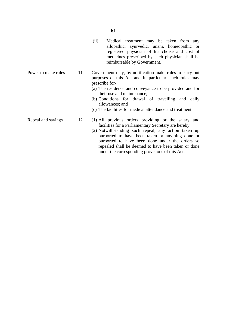- (ii) Medical treatment may be taken from any allopathic, ayurvedic, unani, homeopathic or registered physician of his choise and cost of medicines prescribed by such physician shall be reimbursable by Government.
- 11 Government may, by notification make rules to carry out purposes of this Act and in particular, such rules may prescribe for-
	- (a) The residence and conveyance to be provided and for their use and maintenance;
	- (b) Conditions for drawal of travelling and daily allowances; and
	- (c) The facilities for medical attendance and treatment
	- (1) All previous orders providing or the salary and facilities for a Parliamentary Secretary are hereby
		- (2) Notwithstanding such repeal, any action taken up purported to have been taken or anything done or purported to have been done under the orders so repealed shall be deemed to have been taken or done under the corresponding provisions of this Act.

Power to make rules

Repeal and savings

12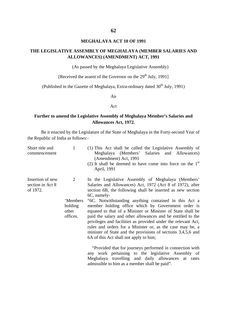#### **MEGHALAYA ACT 10 OF 1991**

#### **THE LEGISLATIVE ASSEMBLY OF MEGHALAYA (MEMBER SALARIES AND ALLOWANCES) (AMENDMENT) ACT, 1991**

(As passed by the Meghalaya Legislative Assembly)

[Received the assent of the Governor on the  $29<sup>th</sup>$  July, 1991]

(Published in the Gazette of Meghalaya, Extra-ordinary dated  $30<sup>th</sup>$  July, 1991)

An

#### Act

### **Further to amend the Legislative Assembly of Meghalaya Member's Salaries and Allowances Act, 1972.**

Be it enacted by the Legislature of the State of Meghalaya in the Forty-second Year of the Republic of India as follows:-

| Short title and<br>commencement                  | $\mathbf{1}$                                  | (1) This Act shall be called the Legislative Assembly of<br>Meghalaya (Members' Salaries and Allowances)<br>(Amendment) Act, 1991<br>(2) It shall be deemed to have come into force on the $1st$<br>April, 1991                                                                                                                                                                                                                                                                                                                                                                                                                                                                                                                                                                                                                                              |
|--------------------------------------------------|-----------------------------------------------|--------------------------------------------------------------------------------------------------------------------------------------------------------------------------------------------------------------------------------------------------------------------------------------------------------------------------------------------------------------------------------------------------------------------------------------------------------------------------------------------------------------------------------------------------------------------------------------------------------------------------------------------------------------------------------------------------------------------------------------------------------------------------------------------------------------------------------------------------------------|
| Insertion of new<br>section in Act 8<br>of 1972. | 2<br>'Members<br>holding<br>other<br>offices. | In the Legislative Assembly of Meghalaya (Members'<br>Salaries and Allowances) Act, 1972 (Act 8 of 1972), after<br>section 6B, the following shall be inserted as new section<br>6C, namely-<br>"6C. Notwithstanding anything contained in this Act a<br>member holding office which by Government order is<br>equated to that of a Minister or Minister of State shall be<br>paid the salary and other allowances and be entitled to the<br>privileges and facilities as provided under the relevant Act,<br>rules and orders for a Minister or, as the case may be, a<br>minister of State and the provisions of sections 3,4,5,6 and<br>6A of this Act shall not apply to him;<br>"Provided that for journeys performed in connection with<br>work pertaining to the legislative Assembly of<br>any<br>Meghalaya travelling and daily allowances at rates |

admissible to him as a member shall be paid".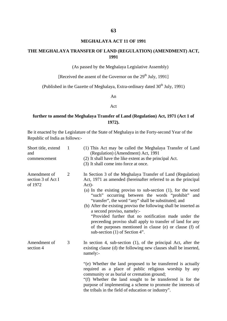#### **MEGHALAYA ACT 11 OF 1991**

#### **THE MEGHALAYA TRANSFER OF LAND (REGULATION) (AMENDMENT) ACT, 1991**

(As passed by the Meghalaya Legislative Assembly)

[Received the assent of the Governor on the  $29<sup>th</sup>$  July, 1991]

(Published in the Gazette of Meghalaya, Extra-ordinary dated  $30<sup>th</sup>$  July, 1991)

An

#### Act

### **further to amend the Meghalaya Transfer of Land (Regulation) Act, 1971 (Act 1 of 1972).**

Be it enacted by the Legislature of the State of Meghalaya in the Forty-second Year of the Republic of India as follows:-

| Short title, extend<br>and<br>commencement    | $\mathbf{1}$   | (1) This Act may be called the Meghalaya Transfer of Land<br>(Regulation) (Amendment) Act, 1991<br>(2) It shall have the like extent as the principal Act.<br>(3) It shall come into force at once.                                                                                                                                                                                                                                                                                                                                                                                                                                                    |
|-----------------------------------------------|----------------|--------------------------------------------------------------------------------------------------------------------------------------------------------------------------------------------------------------------------------------------------------------------------------------------------------------------------------------------------------------------------------------------------------------------------------------------------------------------------------------------------------------------------------------------------------------------------------------------------------------------------------------------------------|
| Amendment of<br>section 3 of Act I<br>of 1972 | $\overline{2}$ | In Section 3 of the Meghalaya Transfer of Land (Regulation)<br>Act, 1971 as amended (hereinafter referred to as the principal<br>$Act)$ -<br>(a) In the existing proviso to sub-section $(1)$ , for the word<br>"such" occurring between the words "prohibit"<br>and<br>"transfer", the word "any" shall be substituted; and<br>(b) After the existing proviso the following shall be inserted as<br>a second proviso, namely:-<br>"Provided further that no notification made under the<br>preceeding proviso shall apply to transfer of land for any<br>of the purposes mentioned in clause (e) or clause (f) of<br>sub-section $(1)$ of Section 4". |
| Amendment of<br>section 4                     | 3              | In section 4, sub-section (1), of the principal Act, after the<br>existing clause (d) the following new clauses shall be inserted,<br>namely:-<br>"(e) Whether the land proposed to be transferred is actually                                                                                                                                                                                                                                                                                                                                                                                                                                         |
|                                               |                | required as a place of public religious worship by any<br>community or as burial or cremation ground;<br>"(f) Whether the land sought to be transferred is for the<br>purpose of implementing a scheme to promote the interests of<br>the tribals in the field of education or industry".                                                                                                                                                                                                                                                                                                                                                              |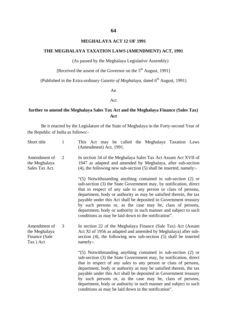#### **MEGHALAYA ACT 12 OF 1991**

### **THE MEGHALAYA TAXATION LAWS (AMENDMENT) ACT, 1991**

(As passed by the Meghalaya Legislative Assembly)

[Received the assent of the Governor on the  $5<sup>th</sup>$  August, 1991]

(Published in the Extra-ordinary *Gazette of Meghalaya*, dated 6<sup>th</sup> August, 1991)

An

#### Act

#### **further to amend the Meghalaya Sales Tax Act and the Meghalaya Finance (Sales Tax) Act**

Be it enacted by the Legislature of the State of Meghalaya in the Forty-second Year of the Republic of India as follows:-

| Short title                                                | $\mathbf{1}$ | This Act may be called the Meghalaya Taxation Laws<br>(Amendment) Act, 1991.                                                                                                                                                                                                                                                                                                                                                                                                                                                             |
|------------------------------------------------------------|--------------|------------------------------------------------------------------------------------------------------------------------------------------------------------------------------------------------------------------------------------------------------------------------------------------------------------------------------------------------------------------------------------------------------------------------------------------------------------------------------------------------------------------------------------------|
| Amendment of<br>the Meghalaya<br>Sales Tax Act.            | 2            | In section 34 of the Meghalaya Sales Tax Act Assam Act XVII of<br>1947 as adapted and amended by Meghalaya, after sub-section<br>$(4)$ , the following new sub-section $(5)$ shall be inserted, namely:-                                                                                                                                                                                                                                                                                                                                 |
|                                                            |              | "(5) Notwithstanding anything contained in sub-section (2) or<br>sub-section (3) the State Government may, by notification, direct<br>that in respect of any sale to any person or class of persons,<br>department, body or authority as may be satisfied therein, the tax<br>payable under this Act shall be deposited in Government treasury<br>by such persons or, as the case may be, class of persons,<br>department, body or authority in such manner and subject to such<br>conditions as may be laid down in the notification".  |
| Amendment of<br>the Meghalaya<br>Finance (Sale<br>Tax) Act | 3            | In section 22 of the Meghalaya Finance (Sale Tax) Act (Assam<br>Act XI of 1956 as adapted and amended by Meghalaya) after sub-<br>section (4), the following new sub-section (5) shall be inserted<br>namely:-                                                                                                                                                                                                                                                                                                                           |
|                                                            |              | "(5) Notwithstanding anything contained in sub-section (2) or<br>sub-section (3) the State Government may, by notification, direct<br>that in respect of any sales to any person or class of persons,<br>department, body or authority as may be satisfied therein, the tax<br>payable under this Act shall be deposited in Government treasury<br>by such persons or, as the case may be, class of persons,<br>department, body or authority in such manner and subject to such<br>conditions as may be laid down in the notification". |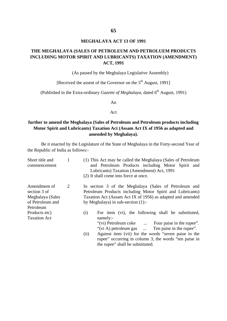#### **MEGHALAYA ACT 13 OF 1991**

### **THE MEGHALAYA (SALES OF PETROLEUM AND PETROLUEM PRODUCTS INCLUDING MOTOR SPIRIT AND LUBRICANTS) TAXATION (AMENDMENT) ACT, 1991**

(As passed by the Meghalaya Legislative Assembly)

[Received the assent of the Governor on the  $5<sup>th</sup>$  August, 1991]

(Published in the Extra-ordinary *Gazette of Meghalaya*, dated 6<sup>th</sup> August, 1991)

An

#### Act

### **further to amend the Meghalaya (Sales of Petroleum and Petroleum products including Motor Spirit and Lubricants) Taxation Act (Assam Act IX of 1956 as adapted and amended by Meghalaya).**

Be it enacted by the Legislature of the State of Meghalaya in the Forty-second Year of the Republic of India as follows:-

| Short title and<br>commencement                                                   |   | (1) This Act may be called the Meghalaya (Sales of Petroleum<br>and Petroleum Products including Motor Spirit and<br>Lubricants) Taxation (Amendment) Act, 1991<br>(2) It shall come into force at once.                                                                                                        |
|-----------------------------------------------------------------------------------|---|-----------------------------------------------------------------------------------------------------------------------------------------------------------------------------------------------------------------------------------------------------------------------------------------------------------------|
| Amendment of<br>section 3 of<br>Meghalaya (Sales<br>of Petroleum and<br>Petroleum | 2 | In section 3 of the Meghalaya (Sales of Petroleum and<br>Petroleum Products including Motor Spirit and Lubricants)<br>Taxation Act (Assam Act IX of 1956) as adapted and amended<br>by Meghalaya) in sub-section $(1)$ :-                                                                                       |
| Products etc)<br><b>Taxation Act</b>                                              |   | For item (vi), the following shall be substituted,<br>(i)<br>namely:-<br>"(vi) Petroleum coke  Four paise in the rupee".<br>"(vi A) petroleum gas $\ldots$<br>Ten paise in the rupee".<br>Against item (vii) for the words "seven paise in the<br>(ii)<br>rupee" occurring in column 3, the words "ten paise in |

the rupee" shall be substituted.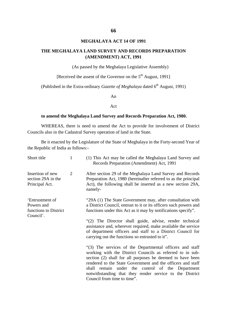#### **MEGHALAYA ACT 14 OF 1991**

#### **THE MEGHALAYA LAND SURVEY AND RECORDS PREPARATION (AMENDMENT) ACT, 1991**

(As passed by the Meghalaya Legislative Assembly)

[Received the assent of the Governor on the  $5<sup>th</sup>$  August, 1991]

(Published in the Extra-ordinary *Gazette of Meghalaya* dated 6<sup>th</sup> August, 1991)

An

#### Act

#### **to amend the Meghalaya Land Survey and Records Preparation Act, 1980.**

WHEREAS, there is need to amend the Act to provide for involvement of District Councils also in the Cadastral Survey operation of land in the State.

Be it enacted by the Legislature of the State of Meghalaya in the Forty-second Year of the Republic of India as follows:-

| Short title                                                         | 1              | (1) This Act may be called the Meghalaya Land Survey and<br>Records Preparation (Amendment) Act, 1991                                                                                                                                                                                                                                                                                            |
|---------------------------------------------------------------------|----------------|--------------------------------------------------------------------------------------------------------------------------------------------------------------------------------------------------------------------------------------------------------------------------------------------------------------------------------------------------------------------------------------------------|
| Insertion of new<br>section 29A in the<br>Principal Act.            | $\overline{2}$ | After section 29 of the Meghalaya Land Survey and Records<br>Preparation Act, 1980 (hereinafter referred to as the principal<br>Act), the following shall be inserted as a new section 29A,<br>namely-                                                                                                                                                                                           |
| 'Entrustment of<br>Powers and<br>functions to District<br>Council'. |                | "29A (1) The State Government may, after consultation with<br>a District Council, entrust to it or its officers such powers and<br>functions under this Act as it may by notifications specify".                                                                                                                                                                                                 |
|                                                                     |                | "(2) The Director shall guide, advise, render technical<br>assistance and, wherever required, make available the service<br>of department officers and staff to a District Council for<br>carrying out the functions so entrusted to it".                                                                                                                                                        |
|                                                                     |                | "(3) The services of the Departmental officers and staff<br>working with the District Councils as referred to in sub-<br>section (2) shall for all purposes be deemed to have been<br>rendered to the State Government and the officers and staff<br>shall remain under the control of the Department<br>notwithstanding that they render service to the District<br>Council from time to time". |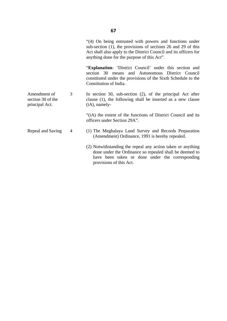|                                                     |   | "(4) On being entrusted with powers and functions under<br>sub-section (1), the provisions of sections 26 and 29 of this<br>Act shall also apply to the District Council and its officers for<br>anything done for the purpose of this Act". |  |
|-----------------------------------------------------|---|----------------------------------------------------------------------------------------------------------------------------------------------------------------------------------------------------------------------------------------------|--|
|                                                     |   | "Explanation- 'District Council' under this section and<br>section 30 means and Autonomous District Council<br>constituted under the provisions of the Sixth Schedule to the<br>Constitution of India.                                       |  |
| Amendment of<br>section 30 of the<br>principal Act. | 3 | In section 30, sub-section $(2)$ , of the principal Act after<br>clause (1), the following shall be inserted as a new clause<br>$(i)$ , namely-                                                                                              |  |
|                                                     |   | "(iA) the extent of the functions of District Council and its<br>officers under Section 29A".                                                                                                                                                |  |
| Repeal and Saving                                   | 4 | (1) The Meghalaya Land Survey and Records Preparation<br>(Amendment) Ordinance, 1991 is hereby repealed.                                                                                                                                     |  |
|                                                     |   | (2) Notwithstanding the repeal any action taken or anything<br>done under the Ordinance so repealed shall be deemed to<br>have been taken or done under the corresponding<br>provisions of this Act.                                         |  |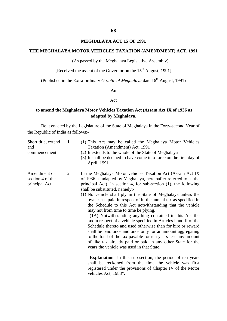### **MEGHALAYA ACT 15 OF 1991**

### **THE MEGHALAYA MOTOR VEHICLES TAXATION (AMENDMENT) ACT, 1991**

(As passed by the Meghalaya Legislative Assembly)

[Received the assent of the Governor on the  $15<sup>th</sup>$  August, 1991]

(Published in the Extra-ordinary *Gazette of Meghalaya* dated 6<sup>th</sup> August, 1991)

An

#### Act

#### **to amend the Meghalaya Motor Vehicles Taxation Act (Assam Act IX of 1936 as adapted by Meghalaya.**

Be it enacted by the Legislature of the State of Meghalaya in the Forty-second Year of the Republic of India as follows:-

| Short title, extend<br>and<br>commencement         | 1 | (1) This Act may be called the Meghalaya Motor Vehicles<br>Taxation (Amendment) Act, 1991<br>(2) It extends to the whole of the State of Meghalaya<br>(3) It shall be deemed to have come into force on the first day of<br>April, 1991                                                                                                                                                                                                                                                                                                                                                                                                                                                                                                                                                                                                                                                                                                                                                                                                                                                                                                  |
|----------------------------------------------------|---|------------------------------------------------------------------------------------------------------------------------------------------------------------------------------------------------------------------------------------------------------------------------------------------------------------------------------------------------------------------------------------------------------------------------------------------------------------------------------------------------------------------------------------------------------------------------------------------------------------------------------------------------------------------------------------------------------------------------------------------------------------------------------------------------------------------------------------------------------------------------------------------------------------------------------------------------------------------------------------------------------------------------------------------------------------------------------------------------------------------------------------------|
| Amendment of<br>section 4 of the<br>principal Act. | 2 | In the Meghalaya Motor vehicles Taxation Act (Assam Act IX)<br>of 1936 as adapted by Meghalaya, hereinafter referred to as the<br>principal Act), in section 4, for sub-section $(1)$ , the following<br>shall be substituted, namely:-<br>(1) No vehicle shall ply in the State of Meghalaya unless the<br>owner has paid in respect of it, the annual tax as specified in<br>the Schedule to this Act notwithstanding that the vehicle<br>may not from time to time be plying.<br>"(1A) Notwithstanding anything contained in this Act the<br>tax in respect of a vehicle specified in Articles I and II of the<br>Schedule thereto and used otherwise than for hire or reward<br>shall be paid once and once only for an amount aggregating<br>to the total of the tax payable for ten years less any amount<br>of like tax already paid or paid in any other State for the<br>years the vehicle was used in that State.<br>"Explanation- In this sub-section, the period of ten years<br>shall be reckoned from the time the vehicle was first<br>registered under the provisions of Chapter IV of the Motor<br>vehicles Act, 1988". |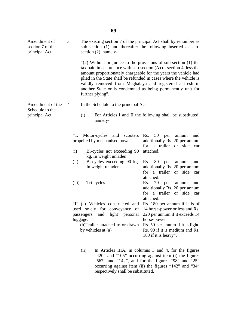| Amendment of<br>section 7 of the<br>principal Act.    | 3                           | The existing section 7 of the principal Act shall by renumber as<br>sub-section (1) and thereafter the following inserted as sub-<br>section $(2)$ , namely-                                                                                                                                                                                                                                                                      |                                                                                                                                                                               |  |
|-------------------------------------------------------|-----------------------------|-----------------------------------------------------------------------------------------------------------------------------------------------------------------------------------------------------------------------------------------------------------------------------------------------------------------------------------------------------------------------------------------------------------------------------------|-------------------------------------------------------------------------------------------------------------------------------------------------------------------------------|--|
|                                                       |                             | "(2) Without prejudice to the provisions of sub-section $(1)$ the<br>tax paid in accordance with sub-section $(A)$ of section 4, less the<br>amount proportionately chargeable for the years the vehicle had<br>plied in the State shall be refunded in cases where the vehicle is<br>validly removed from Meghalaya and registered a fresh in<br>another State or is condemned as being permanently unit for<br>further plying". |                                                                                                                                                                               |  |
| Amendment of the<br>Schedule to the<br>principal Act. | 4                           | In the Schedule to the principal Act-                                                                                                                                                                                                                                                                                                                                                                                             |                                                                                                                                                                               |  |
|                                                       |                             | (i)<br>namely-                                                                                                                                                                                                                                                                                                                                                                                                                    | For Articles I and II the following shall be substituted,                                                                                                                     |  |
|                                                       | "1.<br>(i)<br>(ii)<br>(iii) | Motor-cycles<br>and<br>scooters<br>propelled by mechanised power-<br>Bi-cycles not exceeding 90<br>kg. In weight unladen.                                                                                                                                                                                                                                                                                                         | 50<br>Rs.<br>and<br>per<br>annum<br>additionally Rs. 20 per annum<br>for a trailer or side<br>car<br>attached.                                                                |  |
|                                                       |                             | Bi-cycles exceeding 90 kg.<br>In weight unladen                                                                                                                                                                                                                                                                                                                                                                                   | 80<br>Rs.<br>and<br>per<br>annum<br>additionally Rs. 20 per annum<br>a trailer or side<br>for<br>car<br>attached.                                                             |  |
|                                                       |                             | Tri-cycles                                                                                                                                                                                                                                                                                                                                                                                                                        | Rs.<br>70<br>and<br>per<br>annum<br>additionally Rs. 20 per annum<br>a trailer<br>for<br>or side<br>car<br>attached.                                                          |  |
|                                                       |                             | "II (a) Vehicles constructed and Rs. 180 per annum if it is of<br>used solely for conveyance of<br>light personal<br>and<br>passengers<br>luggage.<br>(b)Trailer attached to or drawn<br>by vehicles at (a)                                                                                                                                                                                                                       | 14 horse-power or less and Rs.<br>220 per annum if it exceeds 14<br>horse-power<br>Rs. 50 per annum if it is light,<br>Rs. 90 if it is medium and Rs.<br>180 if it is heavy". |  |
|                                                       |                             | (ii)                                                                                                                                                                                                                                                                                                                                                                                                                              | In Articles IIIA, in columns 3 and 4, for the figures<br>"420" and "105" occurring against item (i) the figures                                                               |  |

"420" and "105" occurring against item (i) the figures "567" and "142", and for the figures "98" and "25" occurring against item (ii) the figures "142" and "34" respectively shall be substituted.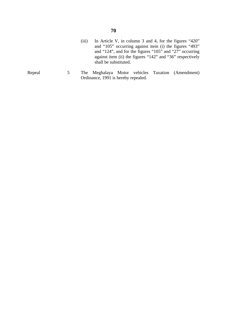- (iii) In Article V, in column 3 and 4, for the figures "420" and "105" occurring against item (i) the figures "493" and "124", and for the figures "105" and "27" occurring against item (ii) the figures "142" and "36" respectively shall be substituted.
- Repeal 5 The Meghalaya Motor vehicles Taxation (Amendment) Ordinance, 1991 is hereby repealed.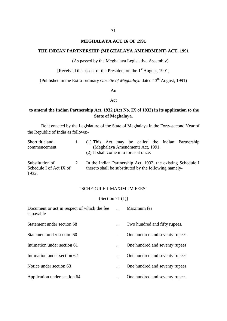## **MEGHALAYA ACT 16 OF 1991**

# **THE INDIAN PARTNERSHIP (MEGHALAYA AMENDMENT) ACT, 1991**

(As passed by the Meghalaya Legislative Assembly)

[Received the assent of the President on the 1<sup>st</sup> August, 1991]

(Published in the Extra-ordinary *Gazette of Meghalaya* dated 13<sup>th</sup> August, 1991)

An

## Act

## **to amend the Indian Partnership Act, 1932 (Act No. IX of 1932) in its application to the State of Meghalaya.**

Be it enacted by the Legislature of the State of Meghalaya in the Forty-second Year of the Republic of India as follows:-

| Short title and                                     | (1) This Act may be called the Indian Partnership                                                                     |
|-----------------------------------------------------|-----------------------------------------------------------------------------------------------------------------------|
| commencement                                        | (Meghalaya Amendment) Act, 1991.<br>(2) It shall come into force at once.                                             |
| Substitution of<br>Schedule I of Act IX of<br>1932. | In the Indian Partnership Act, 1932, the existing Schedule I<br>thereto shall be substituted by the following namely- |

## "SCHEDULE-I-MAXIMUM FEES"

## (Section 71 (1)]

| Document or act in respect of which the fee<br>is payable | Maximum fee                     |
|-----------------------------------------------------------|---------------------------------|
| Statement under section 58                                | Two hundred and fifty rupees.   |
| Statement under section 60                                | One hundred and seventy rupees. |
| Intimation under section 61                               | One hundred and seventy rupees  |
| Intimation under section 62                               | One hundred and seventy rupees  |
| Notice under section 63                                   | One hundred and seventy rupees  |
| Application under section 64                              | One hundred and seventy rupees  |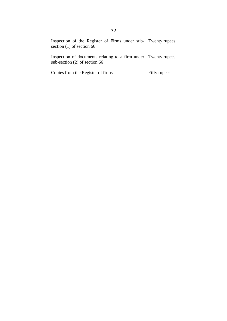Inspection of the Register of Firms under sub-Twenty rupees section (1) of section 66

Inspection of documents relating to a firm under sub-section (2) of section 66 Twenty rupees

Copies from the Register of firms

Fifty rupees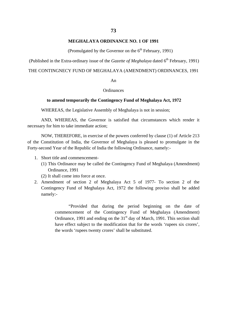### **MEGHALAYA ORDINANCE NO. 1 OF 1991**

(Promulgated by the Governor on the  $6<sup>th</sup>$  February, 1991)

(Published in the Extra-ordinary issue of the *Gazette of Meghalaya* dated 6<sup>th</sup> February, 1991)

## THE CONTINGNECY FUND OF MEGHALAYA (AMENDMENT) ORDINANCES, 1991

#### An

## **Ordinances**

### **to amend temporarily the Contingency Fund of Meghalaya Act, 1972**

WHEREAS, the Legislative Assembly of Meghalaya is not in session;

AND, WHEREAS, the Governor is satisfied that circumstances which render it necessary for him to take immediate action;

NOW, THEREFORE, in exercise of the powers conferred by clause (1) of Article 213 of the Constitution of India, the Governor of Meghalaya is pleased to promulgate in the Forty-second Year of the Republic of India the following Ordinance, namely:-

- 1. Short title and commencement-
	- (1) This Ordinance may be called the Contingency Fund of Meghalaya (Amendment) Ordinance, 1991
	- (2) It shall come into force at once.
- 2. Amendment of section 2 of Meghalaya Act 5 of 1977- To section 2 of the Contingency Fund of Meghalaya Act, 1972 the following proviso shall be added namely:-

"Provided that during the period beginning on the date of commencement of the Contingency Fund of Meghalaya (Amendment) Ordinance, 1991 and ending on the  $31<sup>st</sup>$  day of March, 1991. This section shall have effect subject to the modification that for the words 'rupees six crores', the words 'rupees twenty crores' shall be substituted.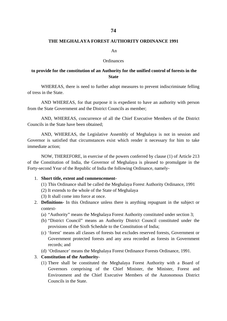## **74**

## **THE MEGHALAYA FOREST AUTHORITY ORDINANCE 1991**

#### An

#### **Ordinances**

# **to provide for the constitution of an Authority for the unified control of forests in the State**

WHEREAS, there is need to further adopt measures to prevent indiscriminate felling of tress in the State.

AND WHEREAS, for that purpose it is expedient to have an authority with person from the State Government and the District Councils as member;

AND, WHEREAS, concurrence of all the Chief Executive Members of the District Councils in the State have been obtained;

AND, WHEREAS, the Legislative Assembly of Meghalaya is not in session and Governor is satisfied that circumstances exist which render it necessary for him to take immediate action;

NOW, THEREFORE, in exercise of the powers conferred by clause (1) of Article 213 of the Constitution of India, the Governor of Meghalaya is pleased to promulgate in the Forty-second Year of the Republic of India the following Ordinance, namely-

- 1. **Short title, extent and commencement-**
	- (1) This Ordinance shall be called the Meghalaya Forest Authority Ordinance, 1991
	- (2) It extends to the whole of the State of Meghalaya
	- (3) It shall come into force at once.
- 2. **Definitions-** In this Ordinance unless there is anything repugnant in the subject or context-
	- (a) "Authority" means the Meghalaya Forest Authority constituted under section 3;
	- (b) "District Council" means an Authority District Council constituted under the provisions of the Sixth Schedule to the Constitution of India;
	- (c) 'forest' means all classes of forests but excludes reserved forests, Government or Government protected forests and any area recorded as forests in Government records; and
	- (d) 'Ordinance' means the Meghalaya Forest Ordinance Forests Ordinance, 1991.

## 3. **Constitution of the Authority-**

(1) There shall be constituted the Meghalaya Forest Authority with a Board of Governors comprising of the Chief Minister, the Minister, Forest and Environment and the Chief Executive Members of the Autonomous District Councils in the State.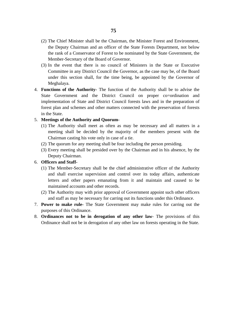- (2) The Chief Minister shall be the Chairman, the Minister Forest and Environment, the Deputy Chairman and an officer of the State Forests Department, not below the rank of a Conservator of Forest to be nominated by the State Government, the Member-Secretary of the Board of Governor.
- (3) In the event that there is no council of Ministers in the State or Executive Committee in any District Council the Governor, as the case may be, of the Board under this section shall, for the time being, be appointed by the Governor of Meghalaya.
- 4. **Functions of the Authority-** The function of the Authority shall be to advise the State Government and the District Council on proper co=ordination and implementation of State and District Council forests laws and in the preparation of forest plan and schemes and other matters connected with the preservation of forests in the State.

#### 5. **Meetings of the Authority and Quorum-**

- (1) The Authority shall meet as often as may be necessary and all matters in a meeting shall be decided by the majority of the members present with the Chairman casting his vote only in case of a tie.
- (2) The quorum for any meeting shall be four including the person presiding.
- (3) Every meeting shall be presided over by the Chairman and in his absence, by the Deputy Chairman.

### 6. **Officers and Staff-**

- (1) The Member-Secretary shall be the chief administrative officer of the Authority and shall exercise supervision and control over its today affairs, authenticate letters and other papers emanating from it and maintain and caused to be maintained accounts and other records.
- (2) The Authority may with prior approval of Government appoint such other officers and staff as may be necessary for carring out its functions under this Ordinance.
- 7. **Power to make rule-** The State Government may make rules for carring out the purposes of this Ordinance.
- 8. **Ordinances not to be in derogation of any other law** The provisions of this Ordinance shall not be in derogation of any other law on forests operating in the State.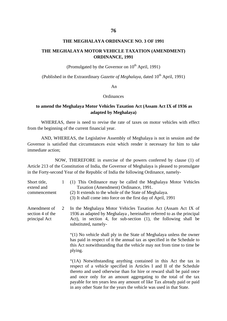#### **THE MEGHALAYA ORDINANCE NO. 3 OF 1991**

## **THE MEGHALAYA MOTOR VEHICLE TAXATION (AMENDMENT) ORDINANCE, 1991**

(Promulgated by the Governor on  $10^{th}$  April, 1991)

(Published in the Extraordinary *Gazette of Meghalaya*, dated  $10^{th}$  April, 1991)

An

#### **Ordinances**

## **to amend the Meghalaya Motor Vehicles Taxation Act (Assam Act IX of 1936 as adapted by Meghalaya)**

WHEREAS, there is need to revise the rate of taxes on motor vehicles with effect from the beginning of the current financial year.

AND, WHEREAS, the Legislative Assembly of Meghalaya is not in session and the Governor is satisfied that circumstances exist which render it necessary for him to take immediate action;

NOW, THEREFORE in exercise of the powers conferred by clause (1) of Article 213 of the Constitution of India, the Governor of Meghalaya is pleased to promulgate in the Forty-second Year of the Republic of India the following Ordinance, namely-

Short title, extend and commencement Amendment of 1 2 (1) This Ordinance may be called the Meghalaya Motor Vehicles Taxation (Amendment) Ordinance, 1991. (2) It extends to the whole of the State of Meghalaya. (3) It shall come into force on the first day of April, 1991

section 4 of the principal Act In the Meghalaya Motor Vehicles Taxation Act (Assam Act IX of 1936 as adapted by Meghalaya , hereinafter referred to as the principal Act), in section 4, for sub-section (1), the following shall be substituted, namely-

> "(1) No vehicle shall ply in the State of Meghalaya unless the owner has paid in respect of it the annual tax as specified in the Schedule to this Act notwithstanding that the vehicle may not from time to time be plying.

> "(1A) Notwithstanding anything contained in this Act the tax in respect of a vehicle specified in Articles I and II of the Schedule thereto and used otherwise than for hire or reward shall be paid once and once only for an amount aggregating to the total of the tax payable for ten years less any amount of like Tax already paid or paid in any other State for the years the vehicle was used in that State.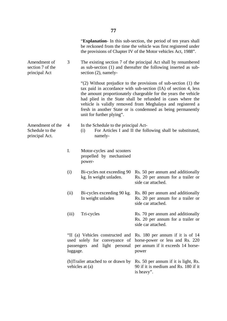|                                                       |          |                                                                                                       | "Explanation- In this sub-section, the period of ten years shall<br>be reckoned from the time the vehicle was first registered under<br>the provisions of Chapter IV of the Motor vehicles Act, 1988".                                                                                                                                                                                              |
|-------------------------------------------------------|----------|-------------------------------------------------------------------------------------------------------|-----------------------------------------------------------------------------------------------------------------------------------------------------------------------------------------------------------------------------------------------------------------------------------------------------------------------------------------------------------------------------------------------------|
| Amendment of<br>section 7 of the<br>principal Act     | 3        | section $(2)$ , namely-                                                                               | The existing section 7 of the principal Act shall by renumbered<br>as sub-section (1) and thereafter the following inserted as sub-                                                                                                                                                                                                                                                                 |
|                                                       |          | unit for further plying".                                                                             | "(2) Without prejudice to the provisions of sub-section $(1)$ the<br>tax paid in accordance with sub-section (IA) of section 4, less<br>the amount proportionately chargeable for the years the vehicle<br>had plied in the State shall be refunded in cases where the<br>vehicle is validly removed from Meghalaya and registered a<br>fresh in another State or is condemned as being permanently |
| Amendment of the<br>Schedule to the<br>principal Act. | 4        | In the Schedule to the principal Act-<br>(i)<br>namely-                                               | For Articles I and II the following shall be substituted,                                                                                                                                                                                                                                                                                                                                           |
|                                                       | I.       | Motor-cycles and scooters<br>propelled by mechanised<br>power-                                        |                                                                                                                                                                                                                                                                                                                                                                                                     |
|                                                       | (i)      | Bi-cycles not exceeding 90<br>kg. In weight unladen.                                                  | Rs. 50 per annum and additionally<br>Rs. 20 per annum for a trailer or<br>side car attached.                                                                                                                                                                                                                                                                                                        |
|                                                       | (ii)     | Bi-cycles exceeding 90 kg.<br>In weight unladen                                                       | Rs. 80 per annum and additionally<br>Rs. 20 per annum for a trailer or<br>side car attached.                                                                                                                                                                                                                                                                                                        |
|                                                       | (iii)    | Tri-cycles                                                                                            | Rs. 70 per annum and additionally<br>Rs. 20 per annum for a trailer or<br>side car attached.                                                                                                                                                                                                                                                                                                        |
|                                                       | luggage. | "II (a) Vehicles constructed and<br>used solely for conveyance of<br>and light personal<br>passengers | Rs. 180 per annum if it is of 14<br>horse-power or less and Rs. 220<br>per annum if it exceeds 14 horse-<br>power                                                                                                                                                                                                                                                                                   |
|                                                       |          | (b) Trailer attached to or drawn by<br>vehicles at (a)                                                | Rs. 50 per annum if it is light, Rs.<br>90 if it is medium and Rs. 180 if it<br>is heavy".                                                                                                                                                                                                                                                                                                          |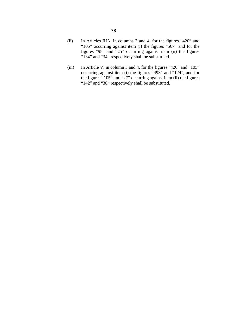- (ii) In Articles IIIA, in columns 3 and 4, for the figures "420" and "105" occurring against item (i) the figures "567" and for the figures "98" and "25" occurring against item (ii) the figures "134" and "34" respectively shall be substituted.
- (iii) In Article V, in column 3 and 4, for the figures "420" and "105" occurring against item (i) the figures "493" and "124", and for the figures "105" and "27" occurring against item (ii) the figures "142" and "36" respectively shall be substituted.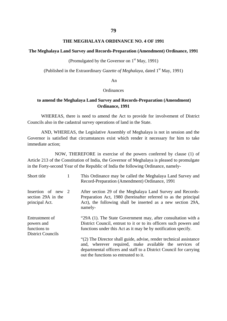#### **THE MEGHALAYA ORDINANCE NO. 4 OF 1991**

#### **The Meghalaya Land Survey and Records-Preparation (Amendment) Ordinance, 1991**

(Promulgated by the Governor on  $1<sup>st</sup>$  May, 1991)

(Published in the Extraordinary *Gazette of Meghalaya*, dated 1<sup>st</sup> May, 1991)

#### An

## **Ordinances**

# **to amend the Meghalaya Land Survey and Records-Preparation (Amendment) Ordinance, 1991**

WHEREAS, there is need to amend the Act to provide for involvement of District Councils also in the cadastral survey operations of land in the State.

AND, WHEREAS, the Legislative Assembly of Meghalaya is not in session and the Governor is satisfied that circumstances exist which render it necessary for him to take immediate action;

NOW, THEREFORE in exercise of the powers conferred by clause (1) of Article 213 of the Constitution of India, the Governor of Meghalaya is pleased to promulgate in the Forty-second Year of the Republic of India the following Ordinance, namely-

| Short title                                                              | 1 | This Ordinance may be called the Meghalaya Land Survey and<br>Record-Preparation (Amendment) Ordinance, 1991                                                                                                                                |
|--------------------------------------------------------------------------|---|---------------------------------------------------------------------------------------------------------------------------------------------------------------------------------------------------------------------------------------------|
| Insertion of new 2<br>section 29A in the<br>principal Act.               |   | After section 29 of the Meghalaya Land Survey and Records-<br>Preparation Act, 1980 (hereinafter referred to as the principal<br>Act), the following shall be inserted as a new section 29A,<br>namely-                                     |
| Entrustment of<br>powers and<br>functions to<br><b>District Councils</b> |   | "29A (1). The State Government may, after consultation with a<br>District Council, entrust to it or to its officers such powers and<br>functions under this Act as it may be by notification specify.                                       |
|                                                                          |   | "(2) The Director shall guide, advise, render technical assistance<br>and, wherever required, make available the services of<br>departmental officers and staff to a District Council for carrying<br>out the functions so entrusted to it. |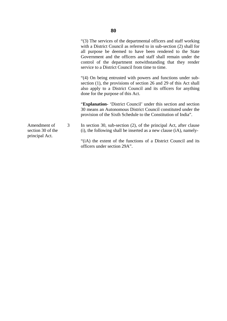Amendment of section 30 of the principal Act. 3 "(3) The services of the departmental officers and staff working with a District Council as referred to in sub-section (2) shall for all purpose be deemed to have been rendered to the State Government and the officers and staff shall remain under the control of the department notwithstanding that they render service to a District Council from time to time. "(4) On being entrusted with powers and functions under subsection (1), the provisions of section 26 and 29 of this Act shall also apply to a District Council and its officers for anything done for the purpose of this Act. "**Explanation-** 'District Council' under this section and section 30 means an Autonomous District Council constituted under the provision of the Sixth Schedule to the Constitution of India". In section 30, sub-section (2), of the principal Act, after clause (i), the following shall be inserted as a new clause (iA), namely- "(iA) the extent of the functions of a District Council and its officers under section 29A".

**80**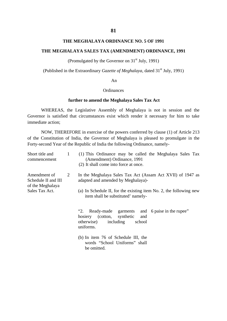## **THE MEGHALAYA ORDINANCE NO. 5 OF 1991**

### **THE MEGHALAYA SALES TAX (AMENDMENT) ORDINANCE, 1991**

(Promulgated by the Governor on  $31<sup>st</sup>$  July, 1991)

(Published in the Extraordinary *Gazette of Meghalaya*, dated 31st July, 1991)

#### An

## **Ordinances**

### **further to amend the Meghalaya Sales Tax Act**

WHEREAS, the Legislative Assembly of Meghalaya is not in session and the Governor is satisfied that circumstances exist which render it necessary for him to take immediate action;

NOW, THEREFORE in exercise of the powers conferred by clause (1) of Article 213 of the Constitution of India, the Governor of Meghalaya is pleased to promulgate in the Forty-second Year of the Republic of India the following Ordinance, namely-

| Short title and<br>commencement                                           | 1 | (1) This Ordinance may be called the Meghalaya Sales Tax<br>(Amendment) Ordinance, 1991<br>(2) It shall come into force at once.                                               |
|---------------------------------------------------------------------------|---|--------------------------------------------------------------------------------------------------------------------------------------------------------------------------------|
| Amendment of<br>Schedule II and III<br>of the Meghalaya<br>Sales Tax Act. | 2 | In the Meghalaya Sales Tax Act (Assam Act XVII) of 1947 as<br>adapted and amended by Meghalaya)-<br>(a) In Schedule II, for the existing item No. 2, the following new         |
|                                                                           |   | item shall be substituted' namely-<br>"2.<br>Ready-made garments and 6 paise in the rupee"<br>hosiery (cotton, synthetic<br>and<br>otherwise) including<br>school<br>uniforms. |
|                                                                           |   | (b) In item 76 of Schedule III, the<br>words "School Uniforms" shall<br>be omitted.                                                                                            |